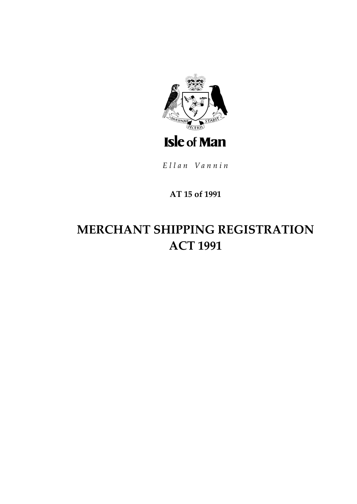

Ellan Vannin

# **AT 15 of 1991**

# **MERCHANT SHIPPING REGISTRATION ACT 1991**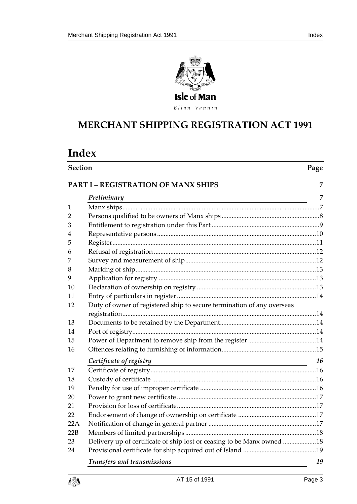



Ellan Vannin

# **MERCHANT SHIPPING RE GISTRATION ACT 1991**

# **Index**

# **Section Page**

|     | Preliminary<br><u> 1989 - Johann Barbara, marka a shekara tsa 1989 - An tsa 1989 - An tsa 1989 - An tsa 1989 - An tsa 1989 - An</u> | 7  |
|-----|-------------------------------------------------------------------------------------------------------------------------------------|----|
| 1   |                                                                                                                                     |    |
| 2   |                                                                                                                                     |    |
| 3   |                                                                                                                                     |    |
| 4   |                                                                                                                                     |    |
| 5   |                                                                                                                                     |    |
| 6   |                                                                                                                                     |    |
| 7   |                                                                                                                                     |    |
| 8   |                                                                                                                                     |    |
| 9   |                                                                                                                                     |    |
| 10  |                                                                                                                                     |    |
| 11  |                                                                                                                                     |    |
| 12  | Duty of owner of registered ship to secure termination of any overseas                                                              |    |
|     |                                                                                                                                     |    |
| 13  |                                                                                                                                     |    |
| 14  |                                                                                                                                     |    |
| 15  |                                                                                                                                     |    |
| 16  |                                                                                                                                     |    |
|     | Certificate of registry                                                                                                             | 16 |
| 17  |                                                                                                                                     |    |
| 18  |                                                                                                                                     |    |
| 19  |                                                                                                                                     |    |
| 20  |                                                                                                                                     |    |
| 21  |                                                                                                                                     |    |
| 22  |                                                                                                                                     |    |
| 22A |                                                                                                                                     |    |
| 22B |                                                                                                                                     |    |
| 23  | Delivery up of certificate of ship lost or ceasing to be Manx owned 18                                                              |    |
| 24  |                                                                                                                                     |    |
|     | <b>Transfers and transmissions</b>                                                                                                  | 19 |

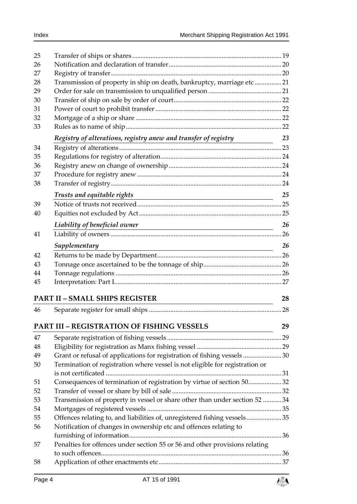| 25 |                                                                                                                                         |    |
|----|-----------------------------------------------------------------------------------------------------------------------------------------|----|
| 26 |                                                                                                                                         |    |
| 27 |                                                                                                                                         |    |
| 28 | Transmission of property in ship on death, bankruptcy, marriage etc21                                                                   |    |
| 29 |                                                                                                                                         |    |
| 30 |                                                                                                                                         |    |
| 31 |                                                                                                                                         |    |
| 32 |                                                                                                                                         |    |
| 33 |                                                                                                                                         |    |
|    | Registry of alterations, registry anew and transfer of registry                                                                         | 23 |
| 34 |                                                                                                                                         |    |
| 35 |                                                                                                                                         |    |
| 36 |                                                                                                                                         |    |
| 37 |                                                                                                                                         |    |
| 38 |                                                                                                                                         |    |
|    | Trusts and equitable rights                                                                                                             | 25 |
| 39 | <u> 1980 - Johann Barn, mars ann an t-Amhain Aonaich an t-Aonaich an t-Aonaich ann an t-Aonaich ann an t-Aonaich</u>                    |    |
| 40 |                                                                                                                                         |    |
|    |                                                                                                                                         | 26 |
| 41 | Liability of beneficial owner                                                                                                           |    |
|    |                                                                                                                                         |    |
|    | Supplementary<br><u> 1989 - Johann Stoff, deutscher Stoffen und der Stoffen und der Stoffen und der Stoffen und der Stoffen und der</u> | 26 |
| 42 |                                                                                                                                         |    |
| 43 |                                                                                                                                         |    |
| 44 |                                                                                                                                         |    |
| 45 |                                                                                                                                         |    |
|    | <b>PART II - SMALL SHIPS REGISTER</b>                                                                                                   | 28 |
| 46 |                                                                                                                                         | 28 |
|    |                                                                                                                                         |    |
|    | <b>PART III - REGISTRATION OF FISHING VESSELS</b>                                                                                       | 29 |
| 47 |                                                                                                                                         |    |
| 48 |                                                                                                                                         |    |
| 49 | Grant or refusal of applications for registration of fishing vessels 30                                                                 |    |
| 50 | Termination of registration where vessel is not eligible for registration or                                                            |    |
|    |                                                                                                                                         |    |
| 51 | Consequences of termination of registration by virtue of section 5032                                                                   |    |
| 52 |                                                                                                                                         |    |
| 53 | Transmission of property in vessel or share other than under section 52  34                                                             |    |
| 54 |                                                                                                                                         |    |
| 55 | Offences relating to, and liabilities of, unregistered fishing vessels35                                                                |    |
| 56 | Notification of changes in ownership etc and offences relating to                                                                       |    |
|    |                                                                                                                                         |    |
| 57 | Penalties for offences under section 55 or 56 and other provisions relating                                                             |    |
|    |                                                                                                                                         |    |
| 58 |                                                                                                                                         |    |
|    |                                                                                                                                         |    |

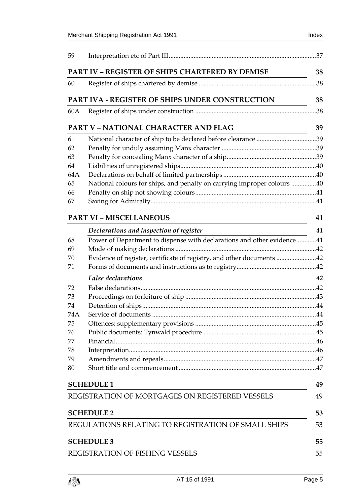| 59  |                                                                                                                                                        |     |
|-----|--------------------------------------------------------------------------------------------------------------------------------------------------------|-----|
|     | PART IV - REGISTER OF SHIPS CHARTERED BY DEMISE                                                                                                        | 38  |
| 60  |                                                                                                                                                        | .38 |
|     | PART IVA - REGISTER OF SHIPS UNDER CONSTRUCTION                                                                                                        | 38  |
| 60A |                                                                                                                                                        | .38 |
|     | <b>PART V - NATIONAL CHARACTER AND FLAG</b>                                                                                                            | 39  |
| 61  |                                                                                                                                                        |     |
| 62  |                                                                                                                                                        |     |
| 63  |                                                                                                                                                        |     |
| 64  |                                                                                                                                                        |     |
| 64A |                                                                                                                                                        |     |
| 65  | National colours for ships, and penalty on carrying improper colours 40                                                                                |     |
| 66  |                                                                                                                                                        |     |
| 67  |                                                                                                                                                        |     |
|     | <b>PART VI - MISCELLANEOUS</b><br><u> 1989 - Johann Barn, mars ar breist bestjoerde te gemeente gemeente gemeente gemeente gemeente gemeente gemee</u> | 41  |
|     | Declarations and inspection of register                                                                                                                | 41  |
| 68  | Power of Department to dispense with declarations and other evidence41                                                                                 |     |
| 69  |                                                                                                                                                        |     |
| 70  | Evidence of register, certificate of registry, and other documents 42                                                                                  |     |
| 71  |                                                                                                                                                        |     |
|     | <b>False</b> declarations<br><u> 1980 - Johann Barbara, martin amerikan basar dan basa dan basar dan basar dalam basa dalam basa dalam basa da</u>     | 42  |
| 72  |                                                                                                                                                        |     |
| 73  |                                                                                                                                                        |     |
| 74  |                                                                                                                                                        |     |
| 74A |                                                                                                                                                        |     |
| 75  |                                                                                                                                                        |     |
| 76  |                                                                                                                                                        |     |
| 77  |                                                                                                                                                        |     |
| 78  |                                                                                                                                                        |     |
| 79  |                                                                                                                                                        |     |
| 80  |                                                                                                                                                        |     |
|     | <b>SCHEDULE 1</b>                                                                                                                                      | 49  |
|     | REGISTRATION OF MORTGAGES ON REGISTERED VESSELS                                                                                                        | 49  |
|     | <b>SCHEDULE 2</b>                                                                                                                                      | 53  |
|     | REGULATIONS RELATING TO REGISTRATION OF SMALL SHIPS                                                                                                    | 53  |
|     | <b>SCHEDULE 3</b>                                                                                                                                      | 55  |
|     | REGISTRATION OF FISHING VESSELS                                                                                                                        | 55  |

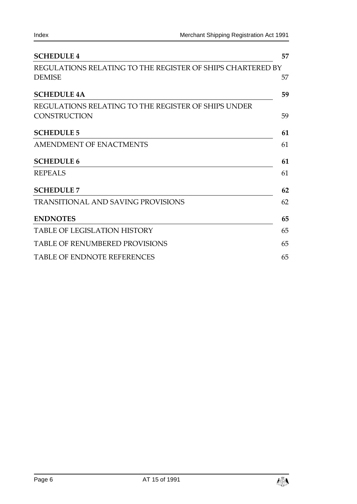| <b>SCHEDULE 4</b>                                          | 57 |
|------------------------------------------------------------|----|
| REGULATIONS RELATING TO THE REGISTER OF SHIPS CHARTERED BY |    |
| <b>DEMISE</b>                                              | 57 |
| <b>SCHEDULE 4A</b>                                         | 59 |
| REGULATIONS RELATING TO THE REGISTER OF SHIPS UNDER        |    |
| <b>CONSTRUCTION</b>                                        | 59 |
| <b>SCHEDULE 5</b>                                          | 61 |
| AMENDMENT OF ENACTMENTS                                    | 61 |
| <b>SCHEDULE 6</b>                                          | 61 |
| <b>REPEALS</b>                                             | 61 |
| <b>SCHEDULE 7</b>                                          | 62 |
| <b>TRANSITIONAL AND SAVING PROVISIONS</b>                  | 62 |
| <b>ENDNOTES</b>                                            | 65 |
| TABLE OF LEGISLATION HISTORY                               | 65 |
| <b>TABLE OF RENUMBERED PROVISIONS</b>                      | 65 |
| <b>TABLE OF ENDNOTE REFERENCES</b>                         | 65 |

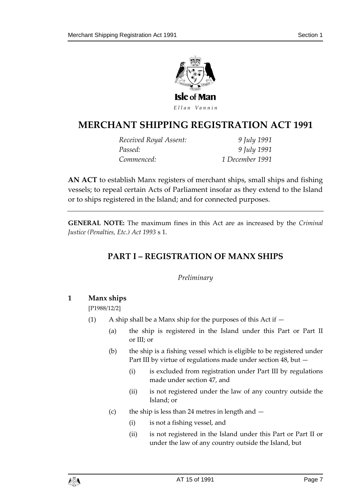

# **MERCHANT SHIPPING RE GISTRATION ACT 1991**

| Received Royal Assent: | 9 July 1991     |
|------------------------|-----------------|
| Passed:                | 9 July 1991     |
| Commenced:             | 1 December 1991 |

**AN ACT** to establish Manx registers of merchant ships, small ships and fishing vessels; to repeal certain Acts of Parliament insofar as they extend to the Island or to ships registered in the Island; and for connected purposes.

<span id="page-6-0"></span>**GENERAL NOTE:** The maximum fines in this Act are as increased by the *Criminal Justice (Penalties, Etc.) Act 1993* s 1.

# **PART I – REGISTRATION OF MANX SHIPS**

# *Preliminary*

# <span id="page-6-2"></span><span id="page-6-1"></span>**1 Manx ships**

[P1988/12/2]

- (1) A ship shall be a Manx ship for the purposes of this Act if  $-$ 
	- (a) the ship is registered in the Island under this Part or Part II or III; or
	- (b) the ship is a fishing vessel which is eligible to be registered under Part III by virtue of regulations made under section 48, but —
		- (i) is excluded from registration under Part III by regulations made under section 47, and
		- (ii) is not registered under the law of any country outside the Island; or
	- (c) the ship is less than 24 metres in length and  $-$ 
		- (i) is not a fishing vessel, and
		- (ii) is not registered in the Island under this Part or Part II or under the law of any country outside the Island, but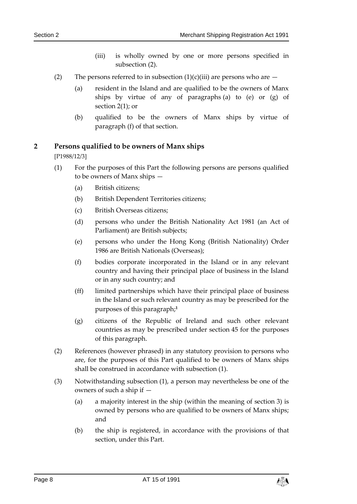- (iii) is wholly owned by one or more persons specified in subsection (2).
- (2) The persons referred to in subsection  $(1)(c)(iii)$  are persons who are  $-$ 
	- (a) resident in the Island and are qualified to be the owners of Manx ships by virtue of any of paragraphs (a) to (e) or (g) of section 2(1); or
	- (b) qualified to be the owners of Manx ships by virtue of paragraph (f) of that section.

# <span id="page-7-0"></span>**2 Persons qualified to be owners of Manx ships**

[P1988/12/3]

- (1) For the purposes of this Part the following persons are persons qualified to be owners of Manx ships —
	- (a) British citizens;
	- (b) British Dependent Territories citizens;
	- (c) British Overseas citizens;
	- (d) persons who under the British Nationality Act 1981 (an Act of Parliament) are British subjects;
	- (e) persons who under the Hong Kong (British Nationality) Order 1986 are British Nationals (Overseas);
	- (f) bodies corporate incorporated in the Island or in any relevant country and having their principal place of business in the Island or in any such country; and
	- (ff) limited partnerships which have their principal place of business in the Island or such relevant country as may be prescribed for the purposes of this paragraph;**<sup>1</sup>**
	- (g) citizens of the Republic of Ireland and such other relevant countries as may be prescribed under section 45 for the purposes of this paragraph.
- (2) References (however phrased) in any statutory provision to persons who are, for the purposes of this Part qualified to be owners of Manx ships shall be construed in accordance with subsection (1).
- (3) Notwithstanding subsection (1), a person may nevertheless be one of the owners of such a ship if —
	- (a) a majority interest in the ship (within the meaning of section 3) is owned by persons who are qualified to be owners of Manx ships; and
	- (b) the ship is registered, in accordance with the provisions of that section, under this Part.

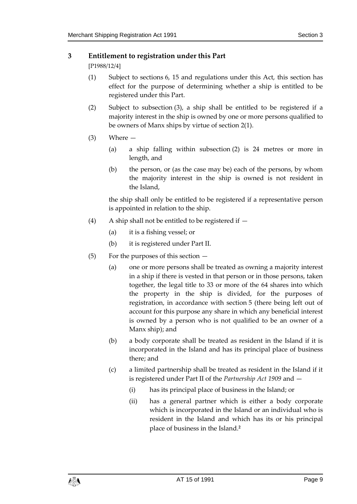# <span id="page-8-0"></span>**3 Entitlement to registration under this Part**

[P1988/12/4]

- (1) Subject to sections 6, 15 and regulations under this Act, this section has effect for the purpose of determining whether a ship is entitled to be registered under this Part.
- (2) Subject to subsection (3), a ship shall be entitled to be registered if a majority interest in the ship is owned by one or more persons qualified to be owners of Manx ships by virtue of section 2(1).
- (3) Where
	- (a) a ship falling within subsection (2) is 24 metres or more in length, and
	- (b) the person, or (as the case may be) each of the persons, by whom the majority interest in the ship is owned is not resident in the Island,

the ship shall only be entitled to be registered if a representative person is appointed in relation to the ship.

- (4) A ship shall not be entitled to be registered if  $-$ 
	- (a) it is a fishing vessel; or
	- (b) it is registered under Part II.
- (5) For the purposes of this section
	- (a) one or more persons shall be treated as owning a majority interest in a ship if there is vested in that person or in those persons, taken together, the legal title to 33 or more of the 64 shares into which the property in the ship is divided, for the purposes of registration, in accordance with section 5 (there being left out of account for this purpose any share in which any beneficial interest is owned by a person who is not qualified to be an owner of a Manx ship); and
	- (b) a body corporate shall be treated as resident in the Island if it is incorporated in the Island and has its principal place of business there; and
	- (c) a limited partnership shall be treated as resident in the Island if it is registered under Part II of the *Partnership Act 1909* and —
		- (i) has its principal place of business in the Island; or
		- (ii) has a general partner which is either a body corporate which is incorporated in the Island or an individual who is resident in the Island and which has its or his principal place of business in the Island.**2**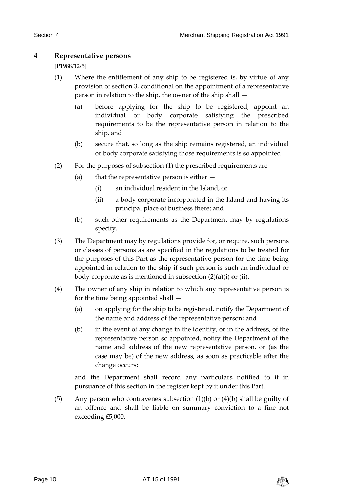# <span id="page-9-0"></span>**4 Representative persons**

[P1988/12/5]

- (1) Where the entitlement of any ship to be registered is, by virtue of any provision of section 3, conditional on the appointment of a representative person in relation to the ship, the owner of the ship shall —
	- (a) before applying for the ship to be registered, appoint an individual or body corporate satisfying the prescribed requirements to be the representative person in relation to the ship, and
	- (b) secure that, so long as the ship remains registered, an individual or body corporate satisfying those requirements is so appointed.
- (2) For the purposes of subsection (1) the prescribed requirements are
	- (a) that the representative person is either
		- (i) an individual resident in the Island, or
		- (ii) a body corporate incorporated in the Island and having its principal place of business there; and
	- (b) such other requirements as the Department may by regulations specify.
- (3) The Department may by regulations provide for, or require, such persons or classes of persons as are specified in the regulations to be treated for the purposes of this Part as the representative person for the time being appointed in relation to the ship if such person is such an individual or body corporate as is mentioned in subsection (2)(a)(i) or (ii).
- (4) The owner of any ship in relation to which any representative person is for the time being appointed shall —
	- (a) on applying for the ship to be registered, notify the Department of the name and address of the representative person; and
	- (b) in the event of any change in the identity, or in the address, of the representative person so appointed, notify the Department of the name and address of the new representative person, or (as the case may be) of the new address, as soon as practicable after the change occurs;

and the Department shall record any particulars notified to it in pursuance of this section in the register kept by it under this Part.

(5) Any person who contravenes subsection  $(1)(b)$  or  $(4)(b)$  shall be guilty of an offence and shall be liable on summary conviction to a fine not exceeding £5,000.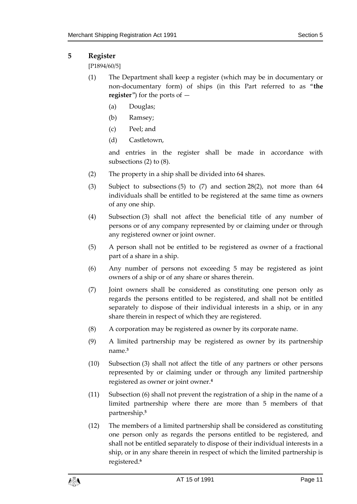# <span id="page-10-0"></span>**5 Register**

[P1894/60/5]

- (1) The Department shall keep a register (which may be in documentary or non-documentary form) of ships (in this Part referred to as "**the register**") for the ports of —
	- (a) Douglas;
	- (b) Ramsey;
	- (c) Peel; and
	- (d) Castletown,

and entries in the register shall be made in accordance with subsections (2) to (8).

- (2) The property in a ship shall be divided into 64 shares.
- (3) Subject to subsections (5) to (7) and section 28(2), not more than 64 individuals shall be entitled to be registered at the same time as owners of any one ship.
- (4) Subsection (3) shall not affect the beneficial title of any number of persons or of any company represented by or claiming under or through any registered owner or joint owner.
- (5) A person shall not be entitled to be registered as owner of a fractional part of a share in a ship.
- (6) Any number of persons not exceeding 5 may be registered as joint owners of a ship or of any share or shares therein.
- (7) Joint owners shall be considered as constituting one person only as regards the persons entitled to be registered, and shall not be entitled separately to dispose of their individual interests in a ship, or in any share therein in respect of which they are registered.
- (8) A corporation may be registered as owner by its corporate name.
- (9) A limited partnership may be registered as owner by its partnership name.**<sup>3</sup>**
- (10) Subsection (3) shall not affect the title of any partners or other persons represented by or claiming under or through any limited partnership registered as owner or joint owner.**<sup>4</sup>**
- (11) Subsection (6) shall not prevent the registration of a ship in the name of a limited partnership where there are more than 5 members of that partnership.**<sup>5</sup>**
- (12) The members of a limited partnership shall be considered as constituting one person only as regards the persons entitled to be registered, and shall not be entitled separately to dispose of their individual interests in a ship, or in any share therein in respect of which the limited partnership is registered.**6**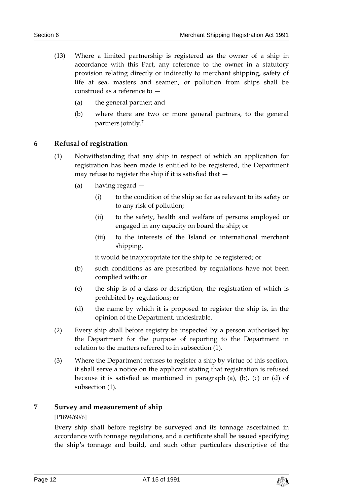- (13) Where a limited partnership is registered as the owner of a ship in accordance with this Part, any reference to the owner in a statutory provision relating directly or indirectly to merchant shipping, safety of life at sea, masters and seamen, or pollution from ships shall be construed as a reference to —
	- (a) the general partner; and
	- (b) where there are two or more general partners, to the general partners jointly.**<sup>7</sup>**

# <span id="page-11-0"></span>**6 Refusal of registration**

- (1) Notwithstanding that any ship in respect of which an application for registration has been made is entitled to be registered, the Department may refuse to register the ship if it is satisfied that —
	- (a) having regard
		- (i) to the condition of the ship so far as relevant to its safety or to any risk of pollution;
		- (ii) to the safety, health and welfare of persons employed or engaged in any capacity on board the ship; or
		- (iii) to the interests of the Island or international merchant shipping,

it would be inappropriate for the ship to be registered; or

- (b) such conditions as are prescribed by regulations have not been complied with; or
- (c) the ship is of a class or description, the registration of which is prohibited by regulations; or
- (d) the name by which it is proposed to register the ship is, in the opinion of the Department, undesirable.
- (2) Every ship shall before registry be inspected by a person authorised by the Department for the purpose of reporting to the Department in relation to the matters referred to in subsection (1).
- (3) Where the Department refuses to register a ship by virtue of this section, it shall serve a notice on the applicant stating that registration is refused because it is satisfied as mentioned in paragraph  $(a)$ ,  $(b)$ ,  $(c)$  or  $(d)$  of subsection (1).

# <span id="page-11-1"></span>**7 Survey and measurement of ship**

#### [P1894/60/6]

Every ship shall before registry be surveyed and its tonnage ascertained in accordance with tonnage regulations, and a certificate shall be issued specifying the ship's tonnage and build, and such other particulars descriptive of the

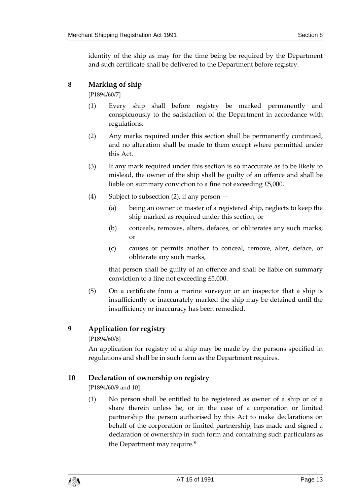identity of the ship as may for the time being be required by the Department and such certificate shall be delivered to the Department before registry.

# <span id="page-12-0"></span>**8 Marking of ship**

[P1894/60/7]

- (1) Every ship shall before registry be marked permanently and conspicuously to the satisfaction of the Department in accordance with regulations.
- (2) Any marks required under this section shall be permanently continued, and no alteration shall be made to them except where permitted under this Act.
- (3) If any mark required under this section is so inaccurate as to be likely to mislead, the owner of the ship shall be guilty of an offence and shall be liable on summary conviction to a fine not exceeding £5,000.
- (4) Subject to subsection (2), if any person
	- (a) being an owner or master of a registered ship, neglects to keep the ship marked as required under this section; or
	- (b) conceals, removes, alters, defaces, or obliterates any such marks; or
	- (c) causes or permits another to conceal, remove, alter, deface, or obliterate any such marks,

that person shall be guilty of an offence and shall be liable on summary conviction to a fine not exceeding £5,000.

(5) On a certificate from a marine surveyor or an inspector that a ship is insufficiently or inaccurately marked the ship may be detained until the insufficiency or inaccuracy has been remedied.

# <span id="page-12-1"></span>**9 Application for registry**

[P1894/60/8]

An application for registry of a ship may be made by the persons specified in regulations and shall be in such form as the Department requires.

# <span id="page-12-2"></span>**10 Declaration of ownership on registry**

[P1894/60/9 and 10]

(1) No person shall be entitled to be registered as owner of a ship or of a share therein unless he, or in the case of a corporation or limited partnership the person authorised by this Act to make declarations on behalf of the corporation or limited partnership, has made and signed a declaration of ownership in such form and containing such particulars as the Department may require.**8**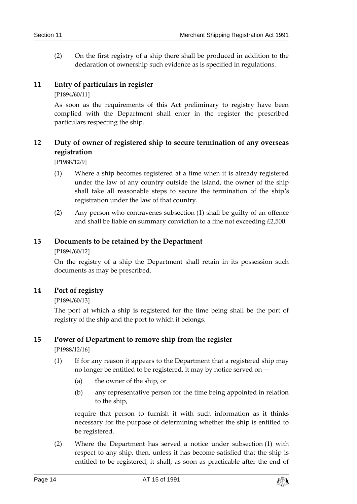(2) On the first registry of a ship there shall be produced in addition to the declaration of ownership such evidence as is specified in regulations.

# <span id="page-13-0"></span>**11 Entry of particulars in register**

[P1894/60/11]

As soon as the requirements of this Act preliminary to registry have been complied with the Department shall enter in the register the prescribed particulars respecting the ship.

# <span id="page-13-1"></span>**12 Duty of owner of registered ship to secure termination of any overseas registration**

[P1988/12/9]

- (1) Where a ship becomes registered at a time when it is already registered under the law of any country outside the Island, the owner of the ship shall take all reasonable steps to secure the termination of the ship's registration under the law of that country.
- (2) Any person who contravenes subsection (1) shall be guilty of an offence and shall be liable on summary conviction to a fine not exceeding £2,500.

# <span id="page-13-2"></span>**13 Documents to be retained by the Department**

[P1894/60/12]

On the registry of a ship the Department shall retain in its possession such documents as may be prescribed.

# <span id="page-13-3"></span>**14 Port of registry**

[P1894/60/13]

The port at which a ship is registered for the time being shall be the port of registry of the ship and the port to which it belongs.

# <span id="page-13-4"></span>**15 Power of Department to remove ship from the register**

[P1988/12/16]

- (1) If for any reason it appears to the Department that a registered ship may no longer be entitled to be registered, it may by notice served on —
	- (a) the owner of the ship, or
	- (b) any representative person for the time being appointed in relation to the ship,

require that person to furnish it with such information as it thinks necessary for the purpose of determining whether the ship is entitled to be registered.

(2) Where the Department has served a notice under subsection (1) with respect to any ship, then, unless it has become satisfied that the ship is entitled to be registered, it shall, as soon as practicable after the end of

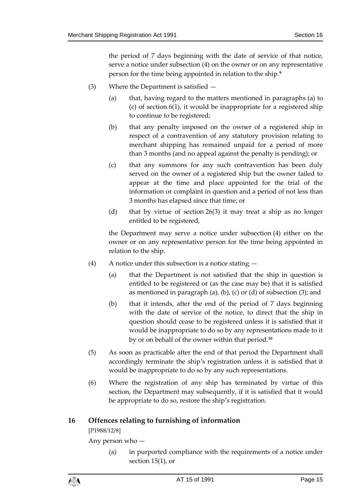the period of 7 days beginning with the date of service of that notice, serve a notice under subsection (4) on the owner or on any representative person for the time being appointed in relation to the ship.**<sup>9</sup>**

- (3) Where the Department is satisfied
	- (a) that, having regard to the matters mentioned in paragraphs (a) to (c) of section 6(1), it would be inappropriate for a registered ship to continue to be registered;
	- (b) that any penalty imposed on the owner of a registered ship in respect of a contravention of any statutory provision relating to merchant shipping has remained unpaid for a period of more than 3 months (and no appeal against the penalty is pending); or
	- (c) that any summons for any such contravention has been duly served on the owner of a registered ship but the owner failed to appear at the time and place appointed for the trial of the information or complaint in question and a period of not less than 3 months has elapsed since that time; or
	- (d) that by virtue of section 26(3) it may treat a ship as no longer entitled to be registered,

the Department may serve a notice under subsection (4) either on the owner or on any representative person for the time being appointed in relation to the ship.

- (4) A notice under this subsection is a notice stating
	- (a) that the Department is not satisfied that the ship in question is entitled to be registered or (as the case may be) that it is satisfied as mentioned in paragraph (a), (b), (c) or (d) of subsection  $(3)$ ; and
	- (b) that it intends, after the end of the period of 7 days beginning with the date of service of the notice, to direct that the ship in question should cease to be registered unless it is satisfied that it would be inappropriate to do so by any representations made to it by or on behalf of the owner within that period.**<sup>10</sup>**
- (5) As soon as practicable after the end of that period the Department shall accordingly terminate the ship's registration unless it is satisfied that it would be inappropriate to do so by any such representations.
- (6) Where the registration of any ship has terminated by virtue of this section, the Department may subsequently, if it is satisfied that it would be appropriate to do so, restore the ship's registration.

# <span id="page-14-0"></span>**16 Offences relating to furnishing of information**

[P1988/12/8]

Any person who —

(a) in purported compliance with the requirements of a notice under section 15(1), or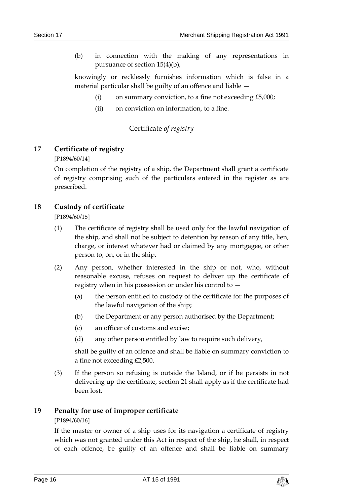(b) in connection with the making of any representations in pursuance of section 15(4)(b),

knowingly or recklessly furnishes information which is false in a material particular shall be guilty of an offence and liable —

- (i) on summary conviction, to a fine not exceeding  $£5,000;$
- (ii) on conviction on information, to a fine.

# Certificate *of registry*

# <span id="page-15-1"></span><span id="page-15-0"></span>**17 Certificate of registry**

[P1894/60/14]

On completion of the registry of a ship, the Department shall grant a certificate of registry comprising such of the particulars entered in the register as are prescribed.

#### <span id="page-15-2"></span>**18 Custody of certificate**

[P1894/60/15]

- (1) The certificate of registry shall be used only for the lawful navigation of the ship, and shall not be subject to detention by reason of any title, lien, charge, or interest whatever had or claimed by any mortgagee, or other person to, on, or in the ship.
- (2) Any person, whether interested in the ship or not, who, without reasonable excuse, refuses on request to deliver up the certificate of registry when in his possession or under his control to —
	- (a) the person entitled to custody of the certificate for the purposes of the lawful navigation of the ship;
	- (b) the Department or any person authorised by the Department;
	- (c) an officer of customs and excise;
	- (d) any other person entitled by law to require such delivery,

shall be guilty of an offence and shall be liable on summary conviction to a fine not exceeding £2,500.

(3) If the person so refusing is outside the Island, or if he persists in not delivering up the certificate, section 21 shall apply as if the certificate had been lost.

#### <span id="page-15-3"></span>**19 Penalty for use of improper certificate**

#### [P1894/60/16]

If the master or owner of a ship uses for its navigation a certificate of registry which was not granted under this Act in respect of the ship, he shall, in respect of each offence, be guilty of an offence and shall be liable on summary

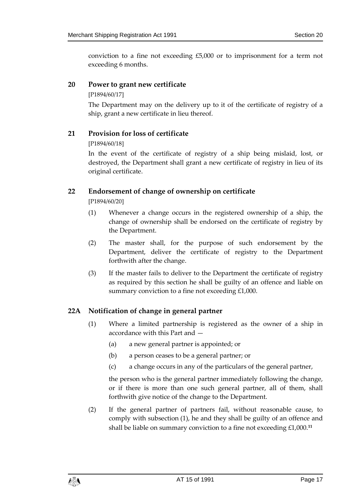conviction to a fine not exceeding £5,000 or to imprisonment for a term not exceeding 6 months.

# <span id="page-16-0"></span>**20 Power to grant new certificate**

[P1894/60/17]

The Department may on the delivery up to it of the certificate of registry of a ship, grant a new certificate in lieu thereof.

# <span id="page-16-1"></span>**21 Provision for loss of certificate**

[P1894/60/18]

In the event of the certificate of registry of a ship being mislaid, lost, or destroyed, the Department shall grant a new certificate of registry in lieu of its original certificate.

# <span id="page-16-2"></span>**22 Endorsement of change of ownership on certificate**

[P1894/60/20]

- (1) Whenever a change occurs in the registered ownership of a ship, the change of ownership shall be endorsed on the certificate of registry by the Department.
- (2) The master shall, for the purpose of such endorsement by the Department, deliver the certificate of registry to the Department forthwith after the change.
- (3) If the master fails to deliver to the Department the certificate of registry as required by this section he shall be guilty of an offence and liable on summary conviction to a fine not exceeding £1,000.

# <span id="page-16-3"></span>**22A Notification of change in general partner**

- (1) Where a limited partnership is registered as the owner of a ship in accordance with this Part and —
	- (a) a new general partner is appointed; or
	- (b) a person ceases to be a general partner; or
	- (c) a change occurs in any of the particulars of the general partner,

the person who is the general partner immediately following the change, or if there is more than one such general partner, all of them, shall forthwith give notice of the change to the Department.

(2) If the general partner of partners fail, without reasonable cause, to comply with subsection (1), he and they shall be guilty of an offence and shall be liable on summary conviction to a fine not exceeding £1,000.**11**

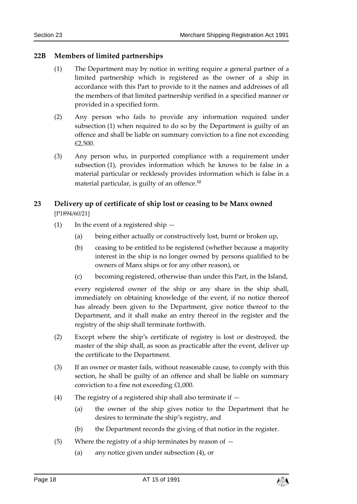# <span id="page-17-0"></span>**22B Members of limited partnerships**

- (1) The Department may by notice in writing require a general partner of a limited partnership which is registered as the owner of a ship in accordance with this Part to provide to it the names and addresses of all the members of that limited partnership verified in a specified manner or provided in a specified form.
- (2) Any person who fails to provide any information required under subsection (1) when required to do so by the Department is guilty of an offence and shall be liable on summary conviction to a fine not exceeding £2,500.
- (3) Any person who, in purported compliance with a requirement under subsection (1), provides information which he knows to be false in a material particular or recklessly provides information which is false in a material particular, is guilty of an offence.**<sup>12</sup>**

# <span id="page-17-1"></span>**23 Delivery up of certificate of ship lost or ceasing to be Manx owned** [P1894/60/21]

- (1) In the event of a registered ship
	- (a) being either actually or constructively lost, burnt or broken up,
	- (b) ceasing to be entitled to be registered (whether because a majority interest in the ship is no longer owned by persons qualified to be owners of Manx ships or for any other reason), or
	- (c) becoming registered, otherwise than under this Part, in the Island,

every registered owner of the ship or any share in the ship shall, immediately on obtaining knowledge of the event, if no notice thereof has already been given to the Department, give notice thereof to the Department, and it shall make an entry thereof in the register and the registry of the ship shall terminate forthwith.

- (2) Except where the ship's certificate of registry is lost or destroyed, the master of the ship shall, as soon as practicable after the event, deliver up the certificate to the Department.
- (3) If an owner or master fails, without reasonable cause, to comply with this section, he shall be guilty of an offence and shall be liable on summary conviction to a fine not exceeding £1,000.
- (4) The registry of a registered ship shall also terminate if
	- (a) the owner of the ship gives notice to the Department that he desires to terminate the ship's registry, and
	- (b) the Department records the giving of that notice in the register.
- (5) Where the registry of a ship terminates by reason of  $-$ 
	- (a) any notice given under subsection (4), or

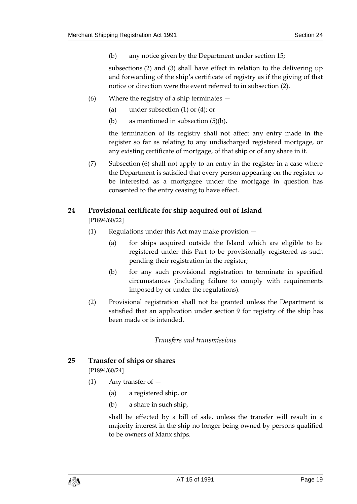(b) any notice given by the Department under section 15;

subsections (2) and (3) shall have effect in relation to the delivering up and forwarding of the ship's certificate of registry as if the giving of that notice or direction were the event referred to in subsection (2).

- (6) Where the registry of a ship terminates
	- (a) under subsection (1) or (4); or
	- (b) as mentioned in subsection (5)(b),

the termination of its registry shall not affect any entry made in the register so far as relating to any undischarged registered mortgage, or any existing certificate of mortgage, of that ship or of any share in it.

(7) Subsection (6) shall not apply to an entry in the register in a case where the Department is satisfied that every person appearing on the register to be interested as a mortgagee under the mortgage in question has consented to the entry ceasing to have effect.

# <span id="page-18-0"></span>**24 Provisional certificate for ship acquired out of Island**

[P1894/60/22]

- (1) Regulations under this Act may make provision
	- (a) for ships acquired outside the Island which are eligible to be registered under this Part to be provisionally registered as such pending their registration in the register;
	- (b) for any such provisional registration to terminate in specified circumstances (including failure to comply with requirements imposed by or under the regulations).
- (2) Provisional registration shall not be granted unless the Department is satisfied that an application under section 9 for registry of the ship has been made or is intended.

#### *Transfers and transmissions*

# <span id="page-18-2"></span><span id="page-18-1"></span>**25 Transfer of ships or shares**

[P1894/60/24]

- (1) Any transfer of
	- (a) a registered ship, or
	- (b) a share in such ship,

shall be effected by a bill of sale, unless the transfer will result in a majority interest in the ship no longer being owned by persons qualified to be owners of Manx ships.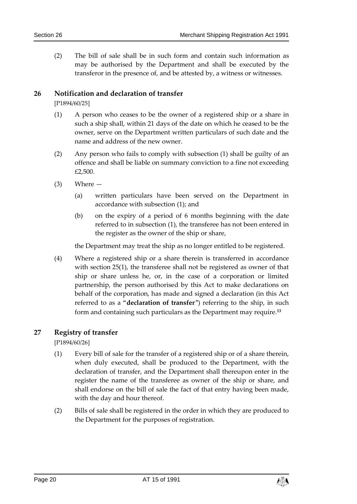(2) The bill of sale shall be in such form and contain such information as may be authorised by the Department and shall be executed by the transferor in the presence of, and be attested by, a witness or witnesses.

# <span id="page-19-0"></span>**26 Notification and declaration of transfer**

[P1894/60/25]

- (1) A person who ceases to be the owner of a registered ship or a share in such a ship shall, within 21 days of the date on which he ceased to be the owner, serve on the Department written particulars of such date and the name and address of the new owner.
- (2) Any person who fails to comply with subsection (1) shall be guilty of an offence and shall be liable on summary conviction to a fine not exceeding £2,500.
- $(3)$  Where  $-$ 
	- (a) written particulars have been served on the Department in accordance with subsection (1); and
	- (b) on the expiry of a period of 6 months beginning with the date referred to in subsection (1), the transferee has not been entered in the register as the owner of the ship or share,

the Department may treat the ship as no longer entitled to be registered.

(4) Where a registered ship or a share therein is transferred in accordance with section 25(1), the transferee shall not be registered as owner of that ship or share unless he, or, in the case of a corporation or limited partnership, the person authorised by this Act to make declarations on behalf of the corporation, has made and signed a declaration (in this Act referred to as a "**declaration of transfer**") referring to the ship, in such form and containing such particulars as the Department may require.**<sup>13</sup>**

# <span id="page-19-1"></span>**27 Registry of transfer**

[P1894/60/26]

- (1) Every bill of sale for the transfer of a registered ship or of a share therein, when duly executed, shall be produced to the Department, with the declaration of transfer, and the Department shall thereupon enter in the register the name of the transferee as owner of the ship or share, and shall endorse on the bill of sale the fact of that entry having been made, with the day and hour thereof.
- (2) Bills of sale shall be registered in the order in which they are produced to the Department for the purposes of registration.

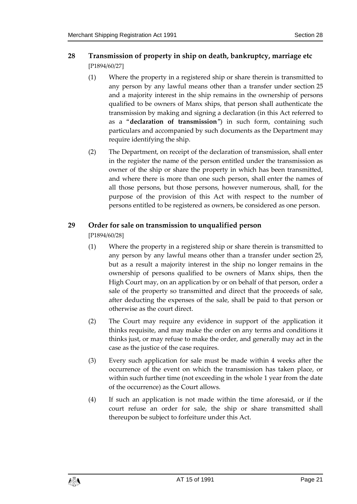# <span id="page-20-0"></span>**28 Transmission of property in ship on death, bankruptcy, marriage etc** [P1894/60/27]

- (1) Where the property in a registered ship or share therein is transmitted to any person by any lawful means other than a transfer under section 25 and a majority interest in the ship remains in the ownership of persons qualified to be owners of Manx ships, that person shall authenticate the transmission by making and signing a declaration (in this Act referred to as a "**declaration of transmission**") in such form, containing such particulars and accompanied by such documents as the Department may require identifying the ship.
- (2) The Department, on receipt of the declaration of transmission, shall enter in the register the name of the person entitled under the transmission as owner of the ship or share the property in which has been transmitted, and where there is more than one such person, shall enter the names of all those persons, but those persons, however numerous, shall, for the purpose of the provision of this Act with respect to the number of persons entitled to be registered as owners, be considered as one person.

# <span id="page-20-1"></span>**29 Order for sale on transmission to unqualified person**

[P1894/60/28]

- (1) Where the property in a registered ship or share therein is transmitted to any person by any lawful means other than a transfer under section 25, but as a result a majority interest in the ship no longer remains in the ownership of persons qualified to be owners of Manx ships, then the High Court may, on an application by or on behalf of that person, order a sale of the property so transmitted and direct that the proceeds of sale, after deducting the expenses of the sale, shall be paid to that person or otherwise as the court direct.
- (2) The Court may require any evidence in support of the application it thinks requisite, and may make the order on any terms and conditions it thinks just, or may refuse to make the order, and generally may act in the case as the justice of the case requires.
- (3) Every such application for sale must be made within 4 weeks after the occurrence of the event on which the transmission has taken place, or within such further time (not exceeding in the whole 1 year from the date of the occurrence) as the Court allows.
- (4) If such an application is not made within the time aforesaid, or if the court refuse an order for sale, the ship or share transmitted shall thereupon be subject to forfeiture under this Act.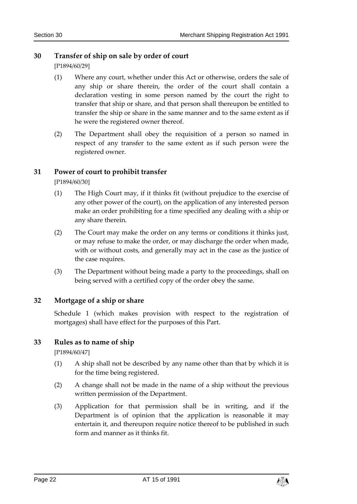# <span id="page-21-0"></span>**30 Transfer of ship on sale by order of court**

[P1894/60/29]

- (1) Where any court, whether under this Act or otherwise, orders the sale of any ship or share therein, the order of the court shall contain a declaration vesting in some person named by the court the right to transfer that ship or share, and that person shall thereupon be entitled to transfer the ship or share in the same manner and to the same extent as if he were the registered owner thereof.
- (2) The Department shall obey the requisition of a person so named in respect of any transfer to the same extent as if such person were the registered owner.

# <span id="page-21-1"></span>**31 Power of court to prohibit transfer**

[P1894/60/30]

- (1) The High Court may, if it thinks fit (without prejudice to the exercise of any other power of the court), on the application of any interested person make an order prohibiting for a time specified any dealing with a ship or any share therein.
- (2) The Court may make the order on any terms or conditions it thinks just, or may refuse to make the order, or may discharge the order when made, with or without costs, and generally may act in the case as the justice of the case requires.
- (3) The Department without being made a party to the proceedings, shall on being served with a certified copy of the order obey the same.

# <span id="page-21-2"></span>**32 Mortgage of a ship or share**

Schedule 1 (which makes provision with respect to the registration of mortgages) shall have effect for the purposes of this Part.

# <span id="page-21-3"></span>**33 Rules as to name of ship**

[P1894/60/47]

- (1) A ship shall not be described by any name other than that by which it is for the time being registered.
- (2) A change shall not be made in the name of a ship without the previous written permission of the Department.
- (3) Application for that permission shall be in writing, and if the Department is of opinion that the application is reasonable it may entertain it, and thereupon require notice thereof to be published in such form and manner as it thinks fit.

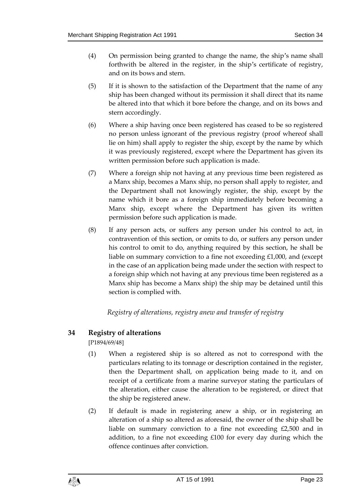- (4) On permission being granted to change the name, the ship's name shall forthwith be altered in the register, in the ship's certificate of registry, and on its bows and stern.
- (5) If it is shown to the satisfaction of the Department that the name of any ship has been changed without its permission it shall direct that its name be altered into that which it bore before the change, and on its bows and stern accordingly.
- (6) Where a ship having once been registered has ceased to be so registered no person unless ignorant of the previous registry (proof whereof shall lie on him) shall apply to register the ship, except by the name by which it was previously registered, except where the Department has given its written permission before such application is made.
- (7) Where a foreign ship not having at any previous time been registered as a Manx ship, becomes a Manx ship, no person shall apply to register, and the Department shall not knowingly register, the ship, except by the name which it bore as a foreign ship immediately before becoming a Manx ship, except where the Department has given its written permission before such application is made.
- (8) If any person acts, or suffers any person under his control to act, in contravention of this section, or omits to do, or suffers any person under his control to omit to do, anything required by this section, he shall be liable on summary conviction to a fine not exceeding £1,000, and (except in the case of an application being made under the section with respect to a foreign ship which not having at any previous time been registered as a Manx ship has become a Manx ship) the ship may be detained until this section is complied with.

*Registry of alterations, registry anew and transfer of registry*

# <span id="page-22-1"></span><span id="page-22-0"></span>**34 Registry of alterations**

[P1894/69/48]

- (1) When a registered ship is so altered as not to correspond with the particulars relating to its tonnage or description contained in the register, then the Department shall, on application being made to it, and on receipt of a certificate from a marine surveyor stating the particulars of the alteration, either cause the alteration to be registered, or direct that the ship be registered anew.
- (2) If default is made in registering anew a ship, or in registering an alteration of a ship so altered as aforesaid, the owner of the ship shall be liable on summary conviction to a fine not exceeding £2,500 and in addition, to a fine not exceeding £100 for every day during which the offence continues after conviction.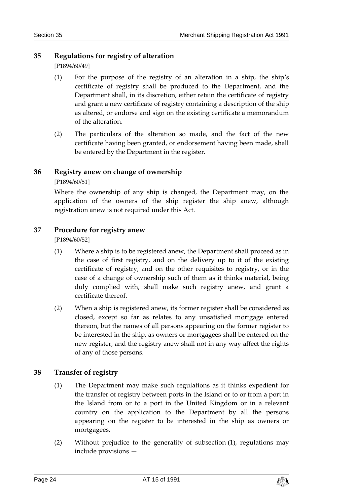# <span id="page-23-0"></span>**35 Regulations for registry of alteration**

[P1894/60/49]

- (1) For the purpose of the registry of an alteration in a ship, the ship's certificate of registry shall be produced to the Department, and the Department shall, in its discretion, either retain the certificate of registry and grant a new certificate of registry containing a description of the ship as altered, or endorse and sign on the existing certificate a memorandum of the alteration.
- (2) The particulars of the alteration so made, and the fact of the new certificate having been granted, or endorsement having been made, shall be entered by the Department in the register.

# <span id="page-23-1"></span>**36 Registry anew on change of ownership**

[P1894/60/51]

Where the ownership of any ship is changed, the Department may, on the application of the owners of the ship register the ship anew, although registration anew is not required under this Act.

# <span id="page-23-2"></span>**37 Procedure for registry anew**

[P1894/60/52]

- (1) Where a ship is to be registered anew, the Department shall proceed as in the case of first registry, and on the delivery up to it of the existing certificate of registry, and on the other requisites to registry, or in the case of a change of ownership such of them as it thinks material, being duly complied with, shall make such registry anew, and grant a certificate thereof.
- (2) When a ship is registered anew, its former register shall be considered as closed, except so far as relates to any unsatisfied mortgage entered thereon, but the names of all persons appearing on the former register to be interested in the ship, as owners or mortgagees shall be entered on the new register, and the registry anew shall not in any way affect the rights of any of those persons.

# <span id="page-23-3"></span>**38 Transfer of registry**

- (1) The Department may make such regulations as it thinks expedient for the transfer of registry between ports in the Island or to or from a port in the Island from or to a port in the United Kingdom or in a relevant country on the application to the Department by all the persons appearing on the register to be interested in the ship as owners or mortgagees.
- (2) Without prejudice to the generality of subsection (1), regulations may include provisions —

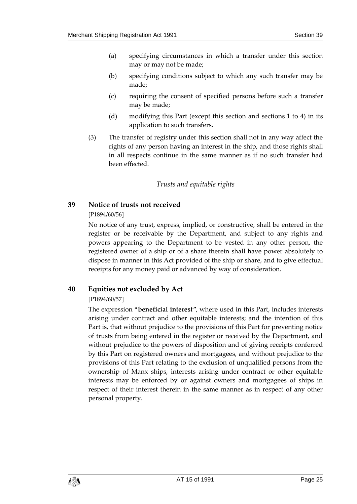- (a) specifying circumstances in which a transfer under this section may or may not be made;
- (b) specifying conditions subject to which any such transfer may be made;
- (c) requiring the consent of specified persons before such a transfer may be made;
- (d) modifying this Part (except this section and sections 1 to 4) in its application to such transfers.
- (3) The transfer of registry under this section shall not in any way affect the rights of any person having an interest in the ship, and those rights shall in all respects continue in the same manner as if no such transfer had been effected.

# *Trusts and equitable rights*

#### <span id="page-24-1"></span><span id="page-24-0"></span>**39 Notice of trusts not received**

#### [P1894/60/56]

No notice of any trust, express, implied, or constructive, shall be entered in the register or be receivable by the Department, and subject to any rights and powers appearing to the Department to be vested in any other person, the registered owner of a ship or of a share therein shall have power absolutely to dispose in manner in this Act provided of the ship or share, and to give effectual receipts for any money paid or advanced by way of consideration.

# <span id="page-24-2"></span>**40 Equities not excluded by Act**

# [P1894/60/57]

The expression "**beneficial interest**", where used in this Part, includes interests arising under contract and other equitable interests; and the intention of this Part is, that without prejudice to the provisions of this Part for preventing notice of trusts from being entered in the register or received by the Department, and without prejudice to the powers of disposition and of giving receipts conferred by this Part on registered owners and mortgagees, and without prejudice to the provisions of this Part relating to the exclusion of unqualified persons from the ownership of Manx ships, interests arising under contract or other equitable interests may be enforced by or against owners and mortgagees of ships in respect of their interest therein in the same manner as in respect of any other personal property.

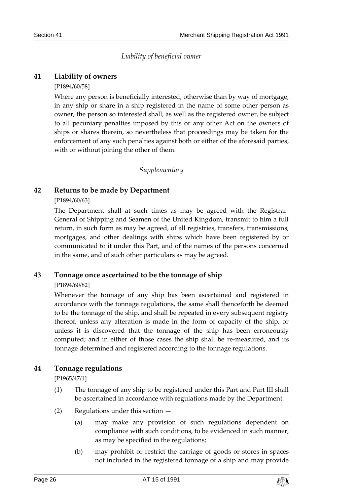*Liability of beneficial owner*

# <span id="page-25-1"></span><span id="page-25-0"></span>**41 Liability of owners**

#### [P1894/60/58]

Where any person is beneficially interested, otherwise than by way of mortgage, in any ship or share in a ship registered in the name of some other person as owner, the person so interested shall, as well as the registered owner, be subject to all pecuniary penalties imposed by this or any other Act on the owners of ships or shares therein, so nevertheless that proceedings may be taken for the enforcement of any such penalties against both or either of the aforesaid parties, with or without joining the other of them.

#### *Supplementary*

# <span id="page-25-3"></span><span id="page-25-2"></span>**42 Returns to be made by Department**

#### [P1894/60/63]

The Department shall at such times as may be agreed with the Registrar-General of Shipping and Seamen of the United Kingdom, transmit to him a full return, in such form as may be agreed, of all registries, transfers, transmissions, mortgages, and other dealings with ships which have been registered by or communicated to it under this Part, and of the names of the persons concerned in the same, and of such other particulars as may be agreed.

# <span id="page-25-4"></span>**43 Tonnage once ascertained to be the tonnage of ship**

#### [P1894/60/82]

Whenever the tonnage of any ship has been ascertained and registered in accordance with the tonnage regulations, the same shall thenceforth be deemed to be the tonnage of the ship, and shall be repeated in every subsequent registry thereof, unless any alteration is made in the form of capacity of the ship, or unless it is discovered that the tonnage of the ship has been erroneously computed; and in either of those cases the ship shall be re-measured, and its tonnage determined and registered according to the tonnage regulations.

# <span id="page-25-5"></span>**44 Tonnage regulations**

[P1965/47/1]

- (1) The tonnage of any ship to be registered under this Part and Part III shall be ascertained in accordance with regulations made by the Department.
- (2) Regulations under this section
	- (a) may make any provision of such regulations dependent on compliance with such conditions, to be evidenced in such manner, as may be specified in the regulations;
	- (b) may prohibit or restrict the carriage of goods or stores in spaces not included in the registered tonnage of a ship and may provide

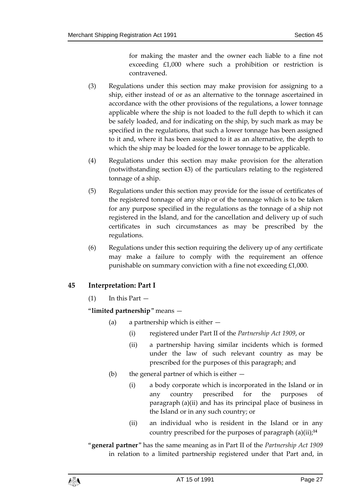for making the master and the owner each liable to a fine not exceeding £1,000 where such a prohibition or restriction is contravened.

- (3) Regulations under this section may make provision for assigning to a ship, either instead of or as an alternative to the tonnage ascertained in accordance with the other provisions of the regulations, a lower tonnage applicable where the ship is not loaded to the full depth to which it can be safely loaded, and for indicating on the ship, by such mark as may be specified in the regulations, that such a lower tonnage has been assigned to it and, where it has been assigned to it as an alternative, the depth to which the ship may be loaded for the lower tonnage to be applicable.
- (4) Regulations under this section may make provision for the alteration (notwithstanding section 43) of the particulars relating to the registered tonnage of a ship.
- (5) Regulations under this section may provide for the issue of certificates of the registered tonnage of any ship or of the tonnage which is to be taken for any purpose specified in the regulations as the tonnage of a ship not registered in the Island, and for the cancellation and delivery up of such certificates in such circumstances as may be prescribed by the regulations.
- (6) Regulations under this section requiring the delivery up of any certificate may make a failure to comply with the requirement an offence punishable on summary conviction with a fine not exceeding £1,000.

# <span id="page-26-0"></span>**45 Interpretation: Part I**

 $(1)$  In this Part  $-$ 

"**limited partnership**" means —

- (a) a partnership which is either
	- (i) registered under Part II of the *Partnership Act 1909*, or
	- (ii) a partnership having similar incidents which is formed under the law of such relevant country as may be prescribed for the purposes of this paragraph; and
- (b) the general partner of which is either
	- (i) a body corporate which is incorporated in the Island or in any country prescribed for the purposes of paragraph (a)(ii) and has its principal place of business in the Island or in any such country; or
	- (ii) an individual who is resident in the Island or in any country prescribed for the purposes of paragraph (a)(ii);**<sup>14</sup>**

"**general partner**" has the same meaning as in Part II of the *Partnership Act 1909* in relation to a limited partnership registered under that Part and, in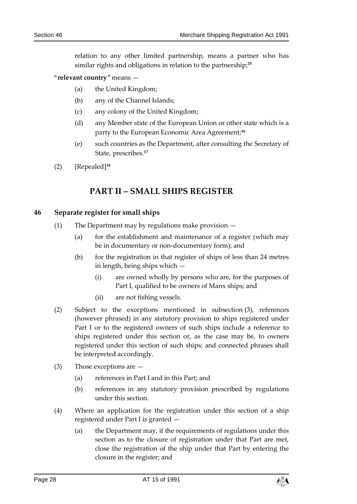relation to any other limited partnership, means a partner who has similar rights and obligations in relation to the partnership;**<sup>15</sup>**

- "**relevant country**" means
	- (a) the United Kingdom;
	- (b) any of the Channel Islands;
	- (c) any colony of the United Kingdom;
	- (d) any Member state of the European Union or other state which is a party to the European Economic Area Agreement;**<sup>16</sup>**
	- (e) such countries as the Department, after consulting the Secretary of State, prescribes.**<sup>17</sup>**
- <span id="page-27-0"></span>(2) [Repealed]**<sup>18</sup>**

# **PART II – SMALL SHIPS REGISTER**

#### <span id="page-27-1"></span>**46 Separate register for small ships**

- (1) The Department may by regulations make provision
	- (a) for the establishment and maintenance of a register (which may be in documentary or non-documentary form); and
	- (b) for the registration in that register of ships of less than 24 metres in length, being ships which —
		- (i) are owned wholly by persons who are, for the purposes of Part I, qualified to be owners of Manx ships; and
		- (ii) are not fishing vessels.
- (2) Subject to the exceptions mentioned in subsection (3), references (however phrased) in any statutory provision to ships registered under Part I or to the registered owners of such ships include a reference to ships registered under this section or, as the case may be, to owners registered under this section of such ships; and connected phrases shall be interpreted accordingly.
- (3) Those exceptions are
	- (a) references in Part I and in this Part; and
	- (b) references in any statutory provision prescribed by regulations under this section.
- (4) Where an application for the registration under this section of a ship registered under Part I is granted —
	- (a) the Department may, if the requirements of regulations under this section as to the closure of registration under that Part are met, close the registration of the ship under that Part by entering the closure in the register; and

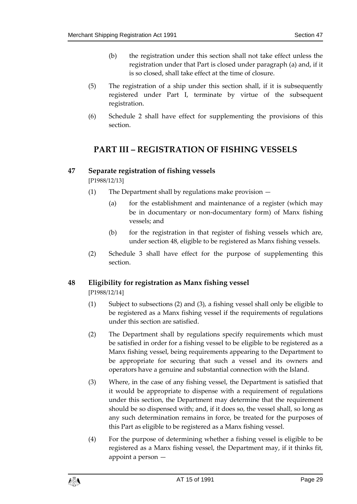- (b) the registration under this section shall not take effect unless the registration under that Part is closed under paragraph (a) and, if it is so closed, shall take effect at the time of closure.
- (5) The registration of a ship under this section shall, if it is subsequently registered under Part I, terminate by virtue of the subsequent registration.
- <span id="page-28-0"></span>(6) Schedule 2 shall have effect for supplementing the provisions of this section.

# **PART III – REGISTRATION OF FISHING VESSELS**

# <span id="page-28-1"></span>**47 Separate registration of fishing vessels**

[P1988/12/13]

- (1) The Department shall by regulations make provision
	- (a) for the establishment and maintenance of a register (which may be in documentary or non-documentary form) of Manx fishing vessels; and
	- (b) for the registration in that register of fishing vessels which are, under section 48, eligible to be registered as Manx fishing vessels.
- (2) Schedule 3 shall have effect for the purpose of supplementing this section.

# <span id="page-28-2"></span>**48 Eligibility for registration as Manx fishing vessel**

[P1988/12/14]

- (1) Subject to subsections (2) and (3), a fishing vessel shall only be eligible to be registered as a Manx fishing vessel if the requirements of regulations under this section are satisfied.
- (2) The Department shall by regulations specify requirements which must be satisfied in order for a fishing vessel to be eligible to be registered as a Manx fishing vessel, being requirements appearing to the Department to be appropriate for securing that such a vessel and its owners and operators have a genuine and substantial connection with the Island.
- (3) Where, in the case of any fishing vessel, the Department is satisfied that it would be appropriate to dispense with a requirement of regulations under this section, the Department may determine that the requirement should be so dispensed with; and, if it does so, the vessel shall, so long as any such determination remains in force, be treated for the purposes of this Part as eligible to be registered as a Manx fishing vessel.
- (4) For the purpose of determining whether a fishing vessel is eligible to be registered as a Manx fishing vessel, the Department may, if it thinks fit, appoint a person —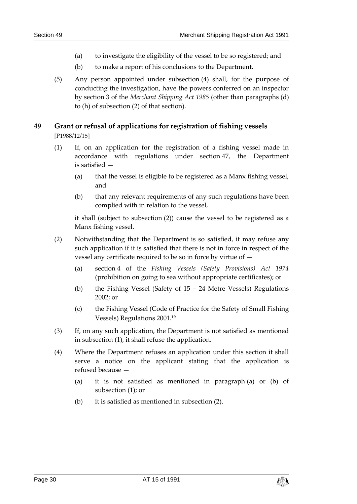- (a) to investigate the eligibility of the vessel to be so registered; and
- (b) to make a report of his conclusions to the Department.
- (5) Any person appointed under subsection (4) shall, for the purpose of conducting the investigation, have the powers conferred on an inspector by section 3 of the *Merchant Shipping Act 1985* (other than paragraphs (d) to (h) of subsection (2) of that section).

# <span id="page-29-0"></span>**49 Grant or refusal of applications for registration of fishing vessels**

[P1988/12/15]

- (1) If, on an application for the registration of a fishing vessel made in accordance with regulations under section 47, the Department is satisfied —
	- (a) that the vessel is eligible to be registered as a Manx fishing vessel, and
	- (b) that any relevant requirements of any such regulations have been complied with in relation to the vessel,

it shall (subject to subsection (2)) cause the vessel to be registered as a Manx fishing vessel.

- (2) Notwithstanding that the Department is so satisfied, it may refuse any such application if it is satisfied that there is not in force in respect of the vessel any certificate required to be so in force by virtue of —
	- (a) section 4 of the *Fishing Vessels (Safety Provisions) Act 1974* (prohibition on going to sea without appropriate certificates); or
	- (b) the Fishing Vessel (Safety of 15 24 Metre Vessels) Regulations 2002; or
	- (c) the Fishing Vessel (Code of Practice for the Safety of Small Fishing Vessels) Regulations 2001.**<sup>19</sup>**
- (3) If, on any such application, the Department is not satisfied as mentioned in subsection (1), it shall refuse the application.
- (4) Where the Department refuses an application under this section it shall serve a notice on the applicant stating that the application is refused because —
	- (a) it is not satisfied as mentioned in paragraph (a) or (b) of subsection (1); or
	- (b) it is satisfied as mentioned in subsection (2).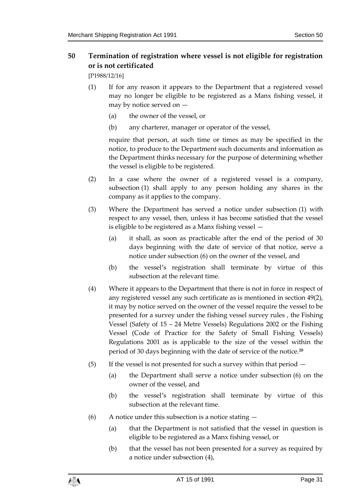# <span id="page-30-0"></span>**50 Termination of registration where vessel is not eligible for registration or is not certificated**

[P1988/12/16]

- (1) If for any reason it appears to the Department that a registered vessel may no longer be eligible to be registered as a Manx fishing vessel, it may by notice served on —
	- (a) the owner of the vessel, or
	- (b) any charterer, manager or operator of the vessel,

require that person, at such time or times as may be specified in the notice, to produce to the Department such documents and information as the Department thinks necessary for the purpose of determining whether the vessel is eligible to be registered.

- (2) In a case where the owner of a registered vessel is a company, subsection (1) shall apply to any person holding any shares in the company as it applies to the company.
- (3) Where the Department has served a notice under subsection (1) with respect to any vessel, then, unless it has become satisfied that the vessel is eligible to be registered as a Manx fishing vessel —
	- (a) it shall, as soon as practicable after the end of the period of 30 days beginning with the date of service of that notice, serve a notice under subsection (6) on the owner of the vessel, and
	- (b) the vessel's registration shall terminate by virtue of this subsection at the relevant time.
- (4) Where it appears to the Department that there is not in force in respect of any registered vessel any such certificate as is mentioned in section 49(2), it may by notice served on the owner of the vessel require the vessel to be presented for a survey under the fishing vessel survey rules , the Fishing Vessel (Safety of 15 – 24 Metre Vessels) Regulations 2002 or the Fishing Vessel (Code of Practice for the Safety of Small Fishing Vessels) Regulations 2001 as is applicable to the size of the vessel within the period of 30 days beginning with the date of service of the notice.**<sup>20</sup>**
- (5) If the vessel is not presented for such a survey within that period  $-$ 
	- (a) the Department shall serve a notice under subsection (6) on the owner of the vessel, and
	- (b) the vessel's registration shall terminate by virtue of this subsection at the relevant time.
- (6) A notice under this subsection is a notice stating  $-$ 
	- (a) that the Department is not satisfied that the vessel in question is eligible to be registered as a Manx fishing vessel, or
	- (b) that the vessel has not been presented for a survey as required by a notice under subsection (4),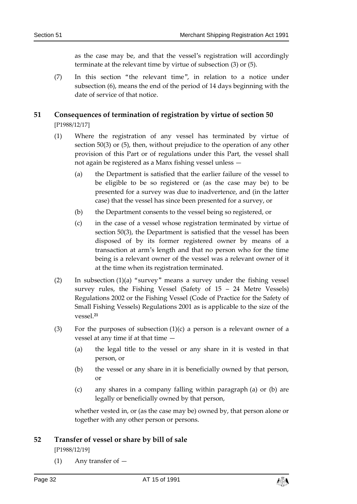as the case may be, and that the vessel's registration will accordingly terminate at the relevant time by virtue of subsection (3) or (5).

(7) In this section "the relevant time", in relation to a notice under subsection (6), means the end of the period of 14 days beginning with the date of service of that notice.

# <span id="page-31-0"></span>**51 Consequences of termination of registration by virtue of section 50** [P1988/12/17]

- (1) Where the registration of any vessel has terminated by virtue of section 50(3) or (5), then, without prejudice to the operation of any other provision of this Part or of regulations under this Part, the vessel shall not again be registered as a Manx fishing vessel unless —
	- (a) the Department is satisfied that the earlier failure of the vessel to be eligible to be so registered or (as the case may be) to be presented for a survey was due to inadvertence, and (in the latter case) that the vessel has since been presented for a survey, or
	- (b) the Department consents to the vessel being so registered, or
	- (c) in the case of a vessel whose registration terminated by virtue of section 50(3), the Department is satisfied that the vessel has been disposed of by its former registered owner by means of a transaction at arm's length and that no person who for the time being is a relevant owner of the vessel was a relevant owner of it at the time when its registration terminated.
- (2) In subsection  $(1)(a)$  "survey" means a survey under the fishing vessel survey rules, the Fishing Vessel (Safety of 15 – 24 Metre Vessels) Regulations 2002 or the Fishing Vessel (Code of Practice for the Safety of Small Fishing Vessels) Regulations 2001 as is applicable to the size of the vessel.**<sup>21</sup>**
- (3) For the purposes of subsection  $(1)(c)$  a person is a relevant owner of a vessel at any time if at that time —
	- (a) the legal title to the vessel or any share in it is vested in that person, or
	- (b) the vessel or any share in it is beneficially owned by that person, or
	- (c) any shares in a company falling within paragraph (a) or (b) are legally or beneficially owned by that person,

whether vested in, or (as the case may be) owned by, that person alone or together with any other person or persons.

# <span id="page-31-1"></span>**52 Transfer of vessel or share by bill of sale**

[P1988/12/19]

(1) Any transfer of —

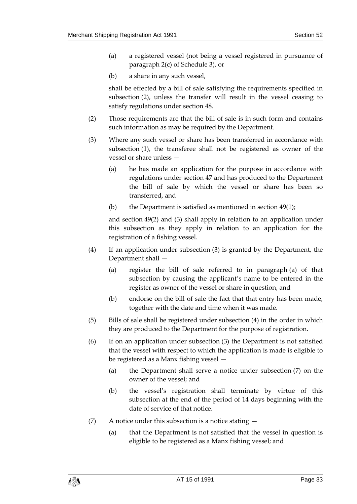- (a) a registered vessel (not being a vessel registered in pursuance of paragraph 2(c) of Schedule 3), or
- (b) a share in any such vessel,

shall be effected by a bill of sale satisfying the requirements specified in subsection (2), unless the transfer will result in the vessel ceasing to satisfy regulations under section 48.

- (2) Those requirements are that the bill of sale is in such form and contains such information as may be required by the Department.
- (3) Where any such vessel or share has been transferred in accordance with subsection (1), the transferee shall not be registered as owner of the vessel or share unless —
	- (a) he has made an application for the purpose in accordance with regulations under section 47 and has produced to the Department the bill of sale by which the vessel or share has been so transferred, and
	- (b) the Department is satisfied as mentioned in section 49(1);

and section 49(2) and (3) shall apply in relation to an application under this subsection as they apply in relation to an application for the registration of a fishing vessel.

- (4) If an application under subsection (3) is granted by the Department, the Department shall —
	- (a) register the bill of sale referred to in paragraph (a) of that subsection by causing the applicant's name to be entered in the register as owner of the vessel or share in question, and
	- (b) endorse on the bill of sale the fact that that entry has been made, together with the date and time when it was made.
- (5) Bills of sale shall be registered under subsection (4) in the order in which they are produced to the Department for the purpose of registration.
- (6) If on an application under subsection (3) the Department is not satisfied that the vessel with respect to which the application is made is eligible to be registered as a Manx fishing vessel —
	- (a) the Department shall serve a notice under subsection (7) on the owner of the vessel; and
	- (b) the vessel's registration shall terminate by virtue of this subsection at the end of the period of 14 days beginning with the date of service of that notice.
- (7) A notice under this subsection is a notice stating  $-$ 
	- (a) that the Department is not satisfied that the vessel in question is eligible to be registered as a Manx fishing vessel; and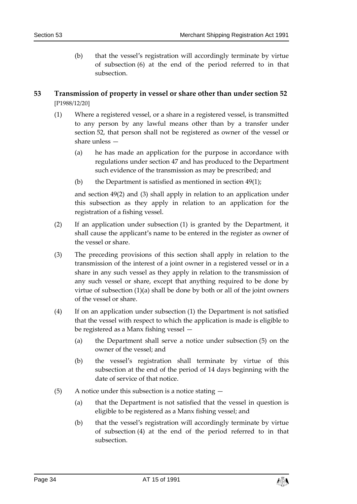(b) that the vessel's registration will accordingly terminate by virtue of subsection (6) at the end of the period referred to in that subsection.

# <span id="page-33-0"></span>**53 Transmission of property in vessel or share other than under section 52** [P1988/12/20]

- (1) Where a registered vessel, or a share in a registered vessel, is transmitted to any person by any lawful means other than by a transfer under section 52, that person shall not be registered as owner of the vessel or share unless —
	- (a) he has made an application for the purpose in accordance with regulations under section 47 and has produced to the Department such evidence of the transmission as may be prescribed; and
	- (b) the Department is satisfied as mentioned in section 49(1);

and section 49(2) and (3) shall apply in relation to an application under this subsection as they apply in relation to an application for the registration of a fishing vessel.

- (2) If an application under subsection (1) is granted by the Department, it shall cause the applicant's name to be entered in the register as owner of the vessel or share.
- (3) The preceding provisions of this section shall apply in relation to the transmission of the interest of a joint owner in a registered vessel or in a share in any such vessel as they apply in relation to the transmission of any such vessel or share, except that anything required to be done by virtue of subsection (1)(a) shall be done by both or all of the joint owners of the vessel or share.
- (4) If on an application under subsection (1) the Department is not satisfied that the vessel with respect to which the application is made is eligible to be registered as a Manx fishing vessel —
	- (a) the Department shall serve a notice under subsection (5) on the owner of the vessel; and
	- (b) the vessel's registration shall terminate by virtue of this subsection at the end of the period of 14 days beginning with the date of service of that notice.
- (5) A notice under this subsection is a notice stating
	- (a) that the Department is not satisfied that the vessel in question is eligible to be registered as a Manx fishing vessel; and
	- (b) that the vessel's registration will accordingly terminate by virtue of subsection (4) at the end of the period referred to in that subsection.

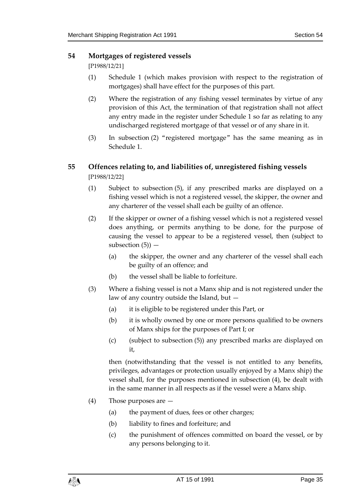# <span id="page-34-0"></span>**54 Mortgages of registered vessels**

[P1988/12/21]

- (1) Schedule 1 (which makes provision with respect to the registration of mortgages) shall have effect for the purposes of this part.
- (2) Where the registration of any fishing vessel terminates by virtue of any provision of this Act, the termination of that registration shall not affect any entry made in the register under Schedule 1 so far as relating to any undischarged registered mortgage of that vessel or of any share in it.
- (3) In subsection (2) "registered mortgage" has the same meaning as in Schedule 1.

# <span id="page-34-1"></span>**55 Offences relating to, and liabilities of, unregistered fishing vessels** [P1988/12/22]

- (1) Subject to subsection (5), if any prescribed marks are displayed on a fishing vessel which is not a registered vessel, the skipper, the owner and any charterer of the vessel shall each be guilty of an offence.
- (2) If the skipper or owner of a fishing vessel which is not a registered vessel does anything, or permits anything to be done, for the purpose of causing the vessel to appear to be a registered vessel, then (subject to subsection  $(5)$ ) –
	- (a) the skipper, the owner and any charterer of the vessel shall each be guilty of an offence; and
	- (b) the vessel shall be liable to forfeiture.
- (3) Where a fishing vessel is not a Manx ship and is not registered under the law of any country outside the Island, but —
	- (a) it is eligible to be registered under this Part, or
	- (b) it is wholly owned by one or more persons qualified to be owners of Manx ships for the purposes of Part I; or
	- (c) (subject to subsection (5)) any prescribed marks are displayed on it,

then (notwithstanding that the vessel is not entitled to any benefits, privileges, advantages or protection usually enjoyed by a Manx ship) the vessel shall, for the purposes mentioned in subsection (4), be dealt with in the same manner in all respects as if the vessel were a Manx ship.

- (4) Those purposes are
	- (a) the payment of dues, fees or other charges;
	- (b) liability to fines and forfeiture; and
	- (c) the punishment of offences committed on board the vessel, or by any persons belonging to it.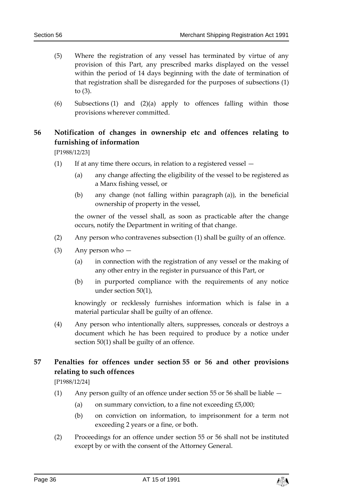- (5) Where the registration of any vessel has terminated by virtue of any provision of this Part, any prescribed marks displayed on the vessel within the period of 14 days beginning with the date of termination of that registration shall be disregarded for the purposes of subsections (1) to (3).
- (6) Subsections (1) and (2)(a) apply to offences falling within those provisions wherever committed.

# <span id="page-35-0"></span>**56 Notification of changes in ownership etc and offences relating to furnishing of information**

[P1988/12/23]

- (1) If at any time there occurs, in relation to a registered vessel  $-$ 
	- (a) any change affecting the eligibility of the vessel to be registered as a Manx fishing vessel, or
	- (b) any change (not falling within paragraph (a)), in the beneficial ownership of property in the vessel,

the owner of the vessel shall, as soon as practicable after the change occurs, notify the Department in writing of that change.

- (2) Any person who contravenes subsection (1) shall be guilty of an offence.
- (3) Any person who
	- (a) in connection with the registration of any vessel or the making of any other entry in the register in pursuance of this Part, or
	- (b) in purported compliance with the requirements of any notice under section 50(1),

knowingly or recklessly furnishes information which is false in a material particular shall be guilty of an offence.

(4) Any person who intentionally alters, suppresses, conceals or destroys a document which he has been required to produce by a notice under section 50(1) shall be guilty of an offence.

# <span id="page-35-1"></span>**57 Penalties for offences under section 55 or 56 and other provisions relating to such offences**

[P1988/12/24]

- (1) Any person guilty of an offence under section 55 or 56 shall be liable
	- (a) on summary conviction, to a fine not exceeding  $£5,000;$
	- (b) on conviction on information, to imprisonment for a term not exceeding 2 years or a fine, or both.
- (2) Proceedings for an offence under section 55 or 56 shall not be instituted except by or with the consent of the Attorney General.

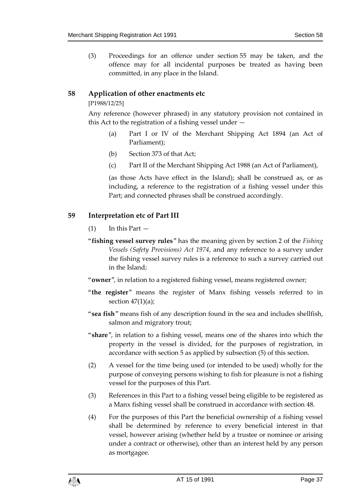(3) Proceedings for an offence under section 55 may be taken, and the offence may for all incidental purposes be treated as having been committed, in any place in the Island.

# <span id="page-36-0"></span>**58 Application of other enactments etc**

#### [P1988/12/25]

Any reference (however phrased) in any statutory provision not contained in this Act to the registration of a fishing vessel under —

- (a) Part I or IV of the Merchant Shipping Act 1894 (an Act of Parliament);
- (b) Section 373 of that Act;
- (c) Part II of the Merchant Shipping Act 1988 (an Act of Parliament),

(as those Acts have effect in the Island); shall be construed as, or as including, a reference to the registration of a fishing vessel under this Part; and connected phrases shall be construed accordingly.

# <span id="page-36-1"></span>**59 Interpretation etc of Part III**

- $(1)$  In this Part  $-$
- "**fishing vessel survey rules**" has the meaning given by section 2 of the *Fishing Vessels (Safety Provisions) Act 1974*, and any reference to a survey under the fishing vessel survey rules is a reference to such a survey carried out in the Island;
- "**owner**", in relation to a registered fishing vessel, means registered owner;
- "**the register**" means the register of Manx fishing vessels referred to in section  $47(1)(a)$ ;
- "**sea fish**" means fish of any description found in the sea and includes shellfish, salmon and migratory trout;
- "**share**", in relation to a fishing vessel, means one of the shares into which the property in the vessel is divided, for the purposes of registration, in accordance with section 5 as applied by subsection (5) of this section.
- (2) A vessel for the time being used (or intended to be used) wholly for the purpose of conveying persons wishing to fish for pleasure is not a fishing vessel for the purposes of this Part.
- (3) References in this Part to a fishing vessel being eligible to be registered as a Manx fishing vessel shall be construed in accordance with section 48.
- (4) For the purposes of this Part the beneficial ownership of a fishing vessel shall be determined by reference to every beneficial interest in that vessel, however arising (whether held by a trustee or nominee or arising under a contract or otherwise), other than an interest held by any person as mortgagee.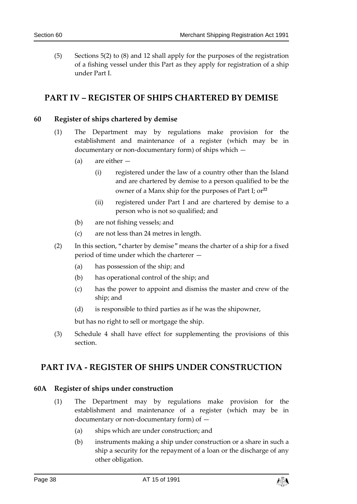(5) Sections 5(2) to (8) and 12 shall apply for the purposes of the registration of a fishing vessel under this Part as they apply for registration of a ship under Part I.

# <span id="page-37-0"></span>**PART IV – REGISTER OF SHIPS CHARTERED BY DEMISE**

# <span id="page-37-1"></span>**60 Register of ships chartered by demise**

- (1) The Department may by regulations make provision for the establishment and maintenance of a register (which may be in documentary or non-documentary form) of ships which —
	- (a) are either
		- (i) registered under the law of a country other than the Island and are chartered by demise to a person qualified to be the owner of a Manx ship for the purposes of Part I; or**<sup>22</sup>**
		- (ii) registered under Part I and are chartered by demise to a person who is not so qualified; and
	- (b) are not fishing vessels; and
	- (c) are not less than 24 metres in length.
- (2) In this section, "charter by demise" means the charter of a ship for a fixed period of time under which the charterer —
	- (a) has possession of the ship; and
	- (b) has operational control of the ship; and
	- (c) has the power to appoint and dismiss the master and crew of the ship; and
	- (d) is responsible to third parties as if he was the shipowner,

but has no right to sell or mortgage the ship.

(3) Schedule 4 shall have effect for supplementing the provisions of this section.

# <span id="page-37-2"></span>**PART IVA - REGISTER OF SHIPS UNDER CONSTRUCTION**

# <span id="page-37-3"></span>**60A Register of ships under construction**

- (1) The Department may by regulations make provision for the establishment and maintenance of a register (which may be in documentary or non-documentary form) of —
	- (a) ships which are under construction; and
	- (b) instruments making a ship under construction or a share in such a ship a security for the repayment of a loan or the discharge of any other obligation.

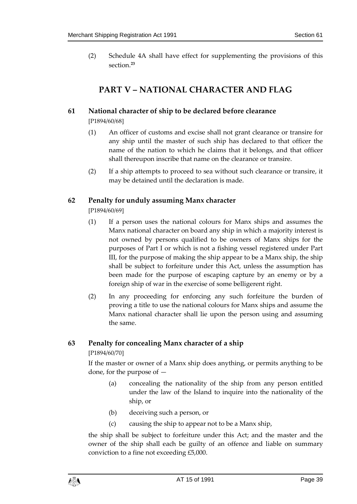<span id="page-38-0"></span>(2) Schedule 4A shall have effect for supplementing the provisions of this section.**<sup>23</sup>**

# **PART V – NATIONAL CHARACTER AND FLAG**

# <span id="page-38-1"></span>**61 National character of ship to be declared before clearance**

[P1894/60/68]

- (1) An officer of customs and excise shall not grant clearance or transire for any ship until the master of such ship has declared to that officer the name of the nation to which he claims that it belongs, and that officer shall thereupon inscribe that name on the clearance or transire.
- (2) If a ship attempts to proceed to sea without such clearance or transire, it may be detained until the declaration is made.

# <span id="page-38-2"></span>**62 Penalty for unduly assuming Manx character**

[P1894/60/69]

- (1) If a person uses the national colours for Manx ships and assumes the Manx national character on board any ship in which a majority interest is not owned by persons qualified to be owners of Manx ships for the purposes of Part I or which is not a fishing vessel registered under Part III, for the purpose of making the ship appear to be a Manx ship, the ship shall be subject to forfeiture under this Act, unless the assumption has been made for the purpose of escaping capture by an enemy or by a foreign ship of war in the exercise of some belligerent right.
- (2) In any proceeding for enforcing any such forfeiture the burden of proving a title to use the national colours for Manx ships and assume the Manx national character shall lie upon the person using and assuming the same.

# <span id="page-38-3"></span>**63 Penalty for concealing Manx character of a ship**

# [P1894/60/70]

If the master or owner of a Manx ship does anything, or permits anything to be done, for the purpose of —

- (a) concealing the nationality of the ship from any person entitled under the law of the Island to inquire into the nationality of the ship, or
- (b) deceiving such a person, or
- (c) causing the ship to appear not to be a Manx ship,

the ship shall be subject to forfeiture under this Act; and the master and the owner of the ship shall each be guilty of an offence and liable on summary conviction to a fine not exceeding £5,000.

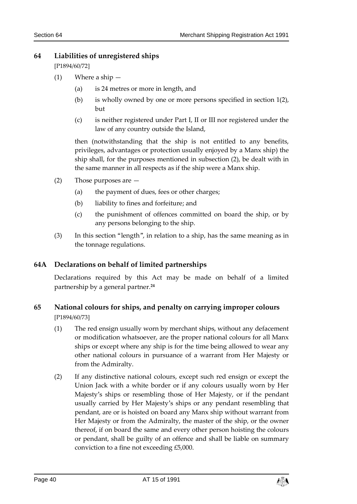# <span id="page-39-0"></span>**64 Liabilities of unregistered ships**

[P1894/60/72]

- (1) Where a ship
	- (a) is 24 metres or more in length, and
	- (b) is wholly owned by one or more persons specified in section 1(2), but
	- (c) is neither registered under Part I, II or III nor registered under the law of any country outside the Island,

then (notwithstanding that the ship is not entitled to any benefits, privileges, advantages or protection usually enjoyed by a Manx ship) the ship shall, for the purposes mentioned in subsection (2), be dealt with in the same manner in all respects as if the ship were a Manx ship.

- (2) Those purposes are
	- (a) the payment of dues, fees or other charges;
	- (b) liability to fines and forfeiture; and
	- (c) the punishment of offences committed on board the ship, or by any persons belonging to the ship.
- (3) In this section "length", in relation to a ship, has the same meaning as in the tonnage regulations.

# <span id="page-39-1"></span>**64A Declarations on behalf of limited partnerships**

Declarations required by this Act may be made on behalf of a limited partnership by a general partner.**<sup>24</sup>**

# <span id="page-39-2"></span>**65 National colours for ships, and penalty on carrying improper colours** [P1894/60/73]

- (1) The red ensign usually worn by merchant ships, without any defacement or modification whatsoever, are the proper national colours for all Manx ships or except where any ship is for the time being allowed to wear any other national colours in pursuance of a warrant from Her Majesty or from the Admiralty.
- (2) If any distinctive national colours, except such red ensign or except the Union Jack with a white border or if any colours usually worn by Her Majesty's ships or resembling those of Her Majesty, or if the pendant usually carried by Her Majesty's ships or any pendant resembling that pendant, are or is hoisted on board any Manx ship without warrant from Her Majesty or from the Admiralty, the master of the ship, or the owner thereof, if on board the same and every other person hoisting the colours or pendant, shall be guilty of an offence and shall be liable on summary conviction to a fine not exceeding £5,000.

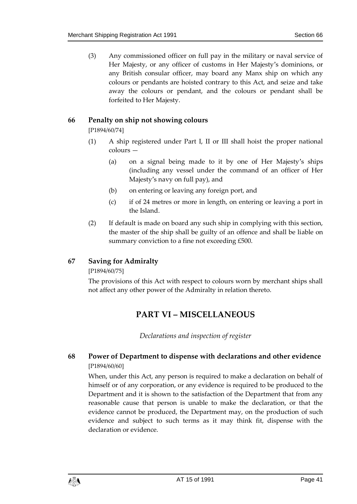(3) Any commissioned officer on full pay in the military or naval service of Her Majesty, or any officer of customs in Her Majesty's dominions, or any British consular officer, may board any Manx ship on which any colours or pendants are hoisted contrary to this Act, and seize and take away the colours or pendant, and the colours or pendant shall be forfeited to Her Majesty.

# <span id="page-40-0"></span>**66 Penalty on ship not showing colours**

[P1894/60/74]

- (1) A ship registered under Part I, II or III shall hoist the proper national colours —
	- (a) on a signal being made to it by one of Her Majesty's ships (including any vessel under the command of an officer of Her Majesty's navy on full pay), and
	- (b) on entering or leaving any foreign port, and
	- (c) if of 24 metres or more in length, on entering or leaving a port in the Island.
- (2) If default is made on board any such ship in complying with this section, the master of the ship shall be guilty of an offence and shall be liable on summary conviction to a fine not exceeding £500.

# <span id="page-40-1"></span>**67 Saving for Admiralty**

[P1894/60/75]

<span id="page-40-2"></span>The provisions of this Act with respect to colours worn by merchant ships shall not affect any other power of the Admiralty in relation thereto.

# **PART VI – MISCELLANEOUS**

*Declarations and inspection of register*

# <span id="page-40-4"></span><span id="page-40-3"></span>**68 Power of Department to dispense with declarations and other evidence** [P1894/60/60]

When, under this Act, any person is required to make a declaration on behalf of himself or of any corporation, or any evidence is required to be produced to the Department and it is shown to the satisfaction of the Department that from any reasonable cause that person is unable to make the declaration, or that the evidence cannot be produced, the Department may, on the production of such evidence and subject to such terms as it may think fit, dispense with the declaration or evidence.

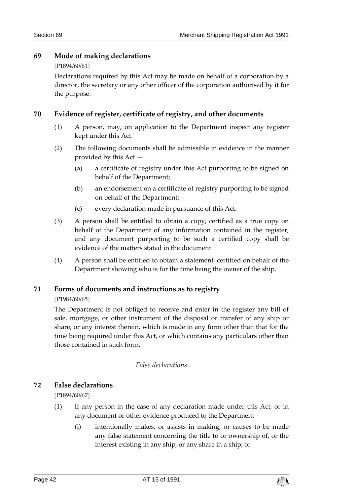# <span id="page-41-0"></span>**69 Mode of making declarations**

#### [P1894/60/61]

Declarations required by this Act may be made on behalf of a corporation by a director, the secretary or any other officer of the corporation authorised by it for the purpose.

# <span id="page-41-1"></span>**70 Evidence of register, certificate of registry, and other documents**

- (1) A person, may, on application to the Department inspect any register kept under this Act.
- (2) The following documents shall be admissible in evidence in the manner provided by this Act —
	- (a) a certificate of registry under this Act purporting to be signed on behalf of the Department;
	- (b) an endorsement on a certificate of registry purporting to be signed on behalf of the Department;
	- (c) every declaration made in pursuance of this Act.
- (3) A person shall be entitled to obtain a copy, certified as a true copy on behalf of the Department of any information contained in the register, and any document purporting to be such a certified copy shall be evidence of the matters stated in the document.
- (4) A person shall be entitled to obtain a statement, certified on behalf of the Department showing who is for the time being the owner of the ship.

# <span id="page-41-2"></span>**71 Forms of documents and instructions as to registry**

# [P1984/60/65]

The Department is not obliged to receive and enter in the register any bill of sale, mortgage, or other instrument of the disposal or transfer of any ship or share, or any interest therein, which is made in any form other than that for the time being required under this Act, or which contains any particulars other than those contained in such form.

# *False declarations*

# <span id="page-41-4"></span><span id="page-41-3"></span>**72 False declarations**

[P1894/60/67]

- (1) If any person in the case of any declaration made under this Act, or in any document or other evidence produced to the Department —
	- (i) intentionally makes, or assists in making, or causes to be made any false statement concerning the title to or ownership of, or the interest existing in any ship, or any share in a ship; or

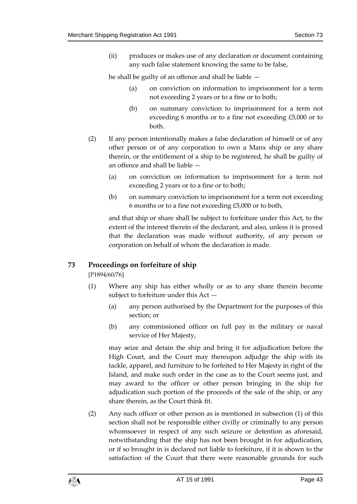(ii) produces or makes use of any declaration or document containing any such false statement knowing the same to be false,

he shall be guilty of an offence and shall be liable —

- (a) on conviction on information to imprisonment for a term not exceeding 2 years or to a fine or to both;
- (b) on summary conviction to imprisonment for a term not exceeding 6 months or to a fine not exceeding £5,000 or to both.
- (2) If any person intentionally makes a false declaration of himself or of any other person or of any corporation to own a Manx ship or any share therein, or the entitlement of a ship to be registered, he shall be guilty of an offence and shall be liable —
	- (a) on conviction on information to imprisonment for a term not exceeding 2 years or to a fine or to both;
	- (b) on summary conviction to imprisonment for a term not exceeding 6 months or to a fine not exceeding £5,000 or to both,

and that ship or share shall be subject to forfeiture under this Act, to the extent of the interest therein of the declarant, and also, unless it is proved that the declaration was made without authority, of any person or corporation on behalf of whom the declaration is made.

# <span id="page-42-0"></span>**73 Proceedings on forfeiture of ship**

[P1894/60/76]

- (1) Where any ship has either wholly or as to any share therein become subject to forfeiture under this Act —
	- (a) any person authorised by the Department for the purposes of this section; or
	- (b) any commissioned officer on full pay in the military or naval service of Her Majesty,

may seize and detain the ship and bring it for adjudication before the High Court, and the Court may thereupon adjudge the ship with its tackle, apparel, and furniture to be forfeited to Her Majesty in right of the Island, and make such order in the case as to the Court seems just, and may award to the officer or other person bringing in the ship for adjudication such portion of the proceeds of the sale of the ship, or any share therein, as the Court think fit.

(2) Any such officer or other person as is mentioned in subsection (1) of this section shall not be responsible either civilly or criminally to any person whomsoever in respect of any such seizure or detention as aforesaid, notwithstanding that the ship has not been brought in for adjudication, or if so brought in is declared not liable to forfeiture, if it is shown to the satisfaction of the Court that there were reasonable grounds for such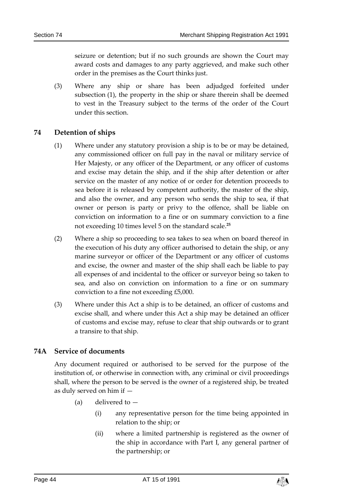seizure or detention; but if no such grounds are shown the Court may award costs and damages to any party aggrieved, and make such other order in the premises as the Court thinks just.

(3) Where any ship or share has been adjudged forfeited under subsection (1), the property in the ship or share therein shall be deemed to vest in the Treasury subject to the terms of the order of the Court under this section.

# <span id="page-43-0"></span>**74 Detention of ships**

- (1) Where under any statutory provision a ship is to be or may be detained, any commissioned officer on full pay in the naval or military service of Her Majesty, or any officer of the Department, or any officer of customs and excise may detain the ship, and if the ship after detention or after service on the master of any notice of or order for detention proceeds to sea before it is released by competent authority, the master of the ship, and also the owner, and any person who sends the ship to sea, if that owner or person is party or privy to the offence, shall be liable on conviction on information to a fine or on summary conviction to a fine not exceeding 10 times level 5 on the standard scale. **25**
- (2) Where a ship so proceeding to sea takes to sea when on board thereof in the execution of his duty any officer authorised to detain the ship, or any marine surveyor or officer of the Department or any officer of customs and excise, the owner and master of the ship shall each be liable to pay all expenses of and incidental to the officer or surveyor being so taken to sea, and also on conviction on information to a fine or on summary conviction to a fine not exceeding £5,000.
- (3) Where under this Act a ship is to be detained, an officer of customs and excise shall, and where under this Act a ship may be detained an officer of customs and excise may, refuse to clear that ship outwards or to grant a transire to that ship.

# <span id="page-43-1"></span>**74A Service of documents**

Any document required or authorised to be served for the purpose of the institution of, or otherwise in connection with, any criminal or civil proceedings shall, where the person to be served is the owner of a registered ship, be treated as duly served on him if —

- (a) delivered to
	- (i) any representative person for the time being appointed in relation to the ship; or
	- (ii) where a limited partnership is registered as the owner of the ship in accordance with Part I, any general partner of the partnership; or

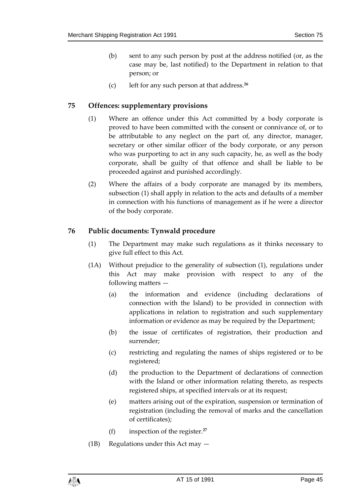- (b) sent to any such person by post at the address notified (or, as the case may be, last notified) to the Department in relation to that person; or
- (c) left for any such person at that address.**<sup>26</sup>**

#### <span id="page-44-0"></span>**75 Offences: supplementary provisions**

- (1) Where an offence under this Act committed by a body corporate is proved to have been committed with the consent or connivance of, or to be attributable to any neglect on the part of, any director, manager, secretary or other similar officer of the body corporate, or any person who was purporting to act in any such capacity, he, as well as the body corporate, shall be guilty of that offence and shall be liable to be proceeded against and punished accordingly.
- (2) Where the affairs of a body corporate are managed by its members, subsection (1) shall apply in relation to the acts and defaults of a member in connection with his functions of management as if he were a director of the body corporate.

# <span id="page-44-1"></span>**76 Public documents: Tynwald procedure**

- (1) The Department may make such regulations as it thinks necessary to give full effect to this Act.
- (1A) Without prejudice to the generality of subsection (1), regulations under this Act may make provision with respect to any of the following matters —
	- (a) the information and evidence (including declarations of connection with the Island) to be provided in connection with applications in relation to registration and such supplementary information or evidence as may be required by the Department;
	- (b) the issue of certificates of registration, their production and surrender;
	- (c) restricting and regulating the names of ships registered or to be registered;
	- (d) the production to the Department of declarations of connection with the Island or other information relating thereto, as respects registered ships, at specified intervals or at its request;
	- (e) matters arising out of the expiration, suspension or termination of registration (including the removal of marks and the cancellation of certificates);
	- (f) inspection of the register.**<sup>27</sup>**
- (1B) Regulations under this Act may —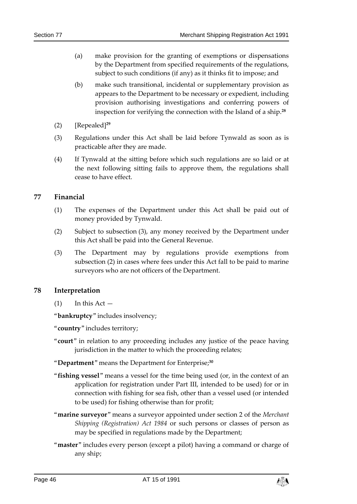- (a) make provision for the granting of exemptions or dispensations by the Department from specified requirements of the regulations, subject to such conditions (if any) as it thinks fit to impose; and
- (b) make such transitional, incidental or supplementary provision as appears to the Department to be necessary or expedient, including provision authorising investigations and conferring powers of inspection for verifying the connection with the Island of a ship.**<sup>28</sup>**
- (2) [Repealed]**<sup>29</sup>**
- (3) Regulations under this Act shall be laid before Tynwald as soon as is practicable after they are made.
- (4) If Tynwald at the sitting before which such regulations are so laid or at the next following sitting fails to approve them, the regulations shall cease to have effect.

#### <span id="page-45-0"></span>**77 Financial**

- (1) The expenses of the Department under this Act shall be paid out of money provided by Tynwald.
- (2) Subject to subsection (3), any money received by the Department under this Act shall be paid into the General Revenue.
- (3) The Department may by regulations provide exemptions from subsection (2) in cases where fees under this Act fall to be paid to marine surveyors who are not officers of the Department.

#### <span id="page-45-1"></span>**78 Interpretation**

 $(1)$  In this Act  $-$ 

"**bankruptcy**" includes insolvency;

"**country**" includes territory;

"**court**" in relation to any proceeding includes any justice of the peace having jurisdiction in the matter to which the proceeding relates;

#### "**Department**" means the Department for Enterprise; **30**

- "**fishing vessel**" means a vessel for the time being used (or, in the context of an application for registration under Part III, intended to be used) for or in connection with fishing for sea fish, other than a vessel used (or intended to be used) for fishing otherwise than for profit;
- "**marine surveyor**" means a surveyor appointed under section 2 of the *Merchant Shipping (Registration) Act 1984* or such persons or classes of person as may be specified in regulations made by the Department;
- "**master**" includes every person (except a pilot) having a command or charge of any ship;

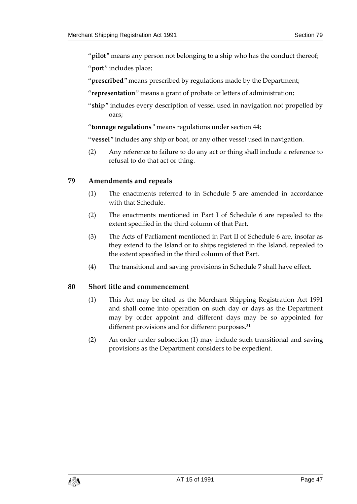"**pilot**" means any person not belonging to a ship who has the conduct thereof;

"**port**" includes place;

- "**prescribed**" means prescribed by regulations made by the Department;
- "**representation**" means a grant of probate or letters of administration;
- "**ship**" includes every description of vessel used in navigation not propelled by oars;
- "**tonnage regulations**" means regulations under section 44;
- "**vessel**" includes any ship or boat, or any other vessel used in navigation.
- (2) Any reference to failure to do any act or thing shall include a reference to refusal to do that act or thing.

#### <span id="page-46-0"></span>**79 Amendments and repeals**

- (1) The enactments referred to in Schedule 5 are amended in accordance with that Schedule.
- (2) The enactments mentioned in Part I of Schedule 6 are repealed to the extent specified in the third column of that Part.
- (3) The Acts of Parliament mentioned in Part II of Schedule 6 are, insofar as they extend to the Island or to ships registered in the Island, repealed to the extent specified in the third column of that Part.
- (4) The transitional and saving provisions in Schedule 7 shall have effect.

#### <span id="page-46-1"></span>**80 Short title and commencement**

- (1) This Act may be cited as the Merchant Shipping Registration Act 1991 and shall come into operation on such day or days as the Department may by order appoint and different days may be so appointed for different provisions and for different purposes.**<sup>31</sup>**
- (2) An order under subsection (1) may include such transitional and saving provisions as the Department considers to be expedient.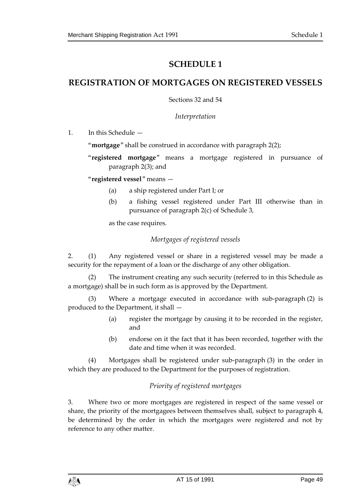# **SCHEDULE 1**

# <span id="page-48-1"></span><span id="page-48-0"></span>**REGISTRATION OF MORTGAGES ON REGISTERED VESSELS**

Sections 32 and 54

*Interpretation*

1. In this Schedule —

"**mortgage**" shall be construed in accordance with paragraph 2(2);

"**registered mortgage**" means a mortgage registered in pursuance of paragraph 2(3); and

"**registered vessel**" means —

- (a) a ship registered under Part I; or
- (b) a fishing vessel registered under Part III otherwise than in pursuance of paragraph 2(c) of Schedule 3,

as the case requires.

# *Mortgages of registered vessels*

2. (1) Any registered vessel or share in a registered vessel may be made a security for the repayment of a loan or the discharge of any other obligation.

(2) The instrument creating any such security (referred to in this Schedule as a mortgage) shall be in such form as is approved by the Department.

(3) Where a mortgage executed in accordance with sub-paragraph (2) is produced to the Department, it shall —

- (a) register the mortgage by causing it to be recorded in the register, and
- (b) endorse on it the fact that it has been recorded, together with the date and time when it was recorded.

(4) Mortgages shall be registered under sub-paragraph (3) in the order in which they are produced to the Department for the purposes of registration.

# *Priority of registered mortgages*

3. Where two or more mortgages are registered in respect of the same vessel or share, the priority of the mortgagees between themselves shall, subject to paragraph 4, be determined by the order in which the mortgages were registered and not by reference to any other matter.

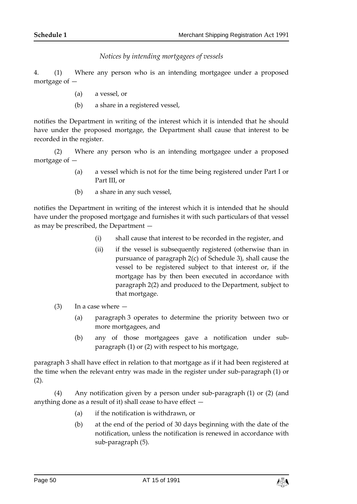*Notices by intending mortgagees of vessels*

4. (1) Where any person who is an intending mortgagee under a proposed mortgage of —

- (a) a vessel, or
- (b) a share in a registered vessel,

notifies the Department in writing of the interest which it is intended that he should have under the proposed mortgage, the Department shall cause that interest to be recorded in the register.

(2) Where any person who is an intending mortgagee under a proposed mortgage of —

- (a) a vessel which is not for the time being registered under Part I or Part III, or
- (b) a share in any such vessel,

notifies the Department in writing of the interest which it is intended that he should have under the proposed mortgage and furnishes it with such particulars of that vessel as may be prescribed, the Department —

- (i) shall cause that interest to be recorded in the register, and
- (ii) if the vessel is subsequently registered (otherwise than in pursuance of paragraph 2(c) of Schedule 3), shall cause the vessel to be registered subject to that interest or, if the mortgage has by then been executed in accordance with paragraph 2(2) and produced to the Department, subject to that mortgage.
- (3) In a case where
	- (a) paragraph 3 operates to determine the priority between two or more mortgagees, and
	- (b) any of those mortgagees gave a notification under subparagraph (1) or (2) with respect to his mortgage,

paragraph 3 shall have effect in relation to that mortgage as if it had been registered at the time when the relevant entry was made in the register under sub-paragraph (1) or (2).

(4) Any notification given by a person under sub-paragraph (1) or (2) (and anything done as a result of it) shall cease to have effect  $-$ 

- (a) if the notification is withdrawn, or
- (b) at the end of the period of 30 days beginning with the date of the notification, unless the notification is renewed in accordance with sub-paragraph (5).

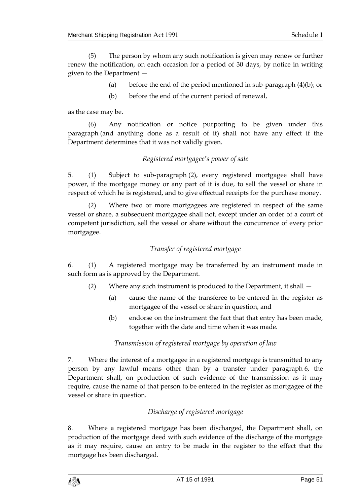(5) The person by whom any such notification is given may renew or further renew the notification, on each occasion for a period of 30 days, by notice in writing given to the Department —

- (a) before the end of the period mentioned in sub-paragraph (4)(b); or
- (b) before the end of the current period of renewal,

as the case may be.

(6) Any notification or notice purporting to be given under this paragraph (and anything done as a result of it) shall not have any effect if the Department determines that it was not validly given.

# *Registered mortgagee's power of sale*

5. (1) Subject to sub-paragraph (2), every registered mortgagee shall have power, if the mortgage money or any part of it is due, to sell the vessel or share in respect of which he is registered, and to give effectual receipts for the purchase money.

(2) Where two or more mortgagees are registered in respect of the same vessel or share, a subsequent mortgagee shall not, except under an order of a court of competent jurisdiction, sell the vessel or share without the concurrence of every prior mortgagee.

# *Transfer of registered mortgage*

6. (1) A registered mortgage may be transferred by an instrument made in such form as is approved by the Department.

- (2) Where any such instrument is produced to the Department, it shall
	- (a) cause the name of the transferee to be entered in the register as mortgagee of the vessel or share in question, and
	- (b) endorse on the instrument the fact that that entry has been made, together with the date and time when it was made.

# *Transmission of registered mortgage by operation of law*

7. Where the interest of a mortgagee in a registered mortgage is transmitted to any person by any lawful means other than by a transfer under paragraph 6, the Department shall, on production of such evidence of the transmission as it may require, cause the name of that person to be entered in the register as mortgagee of the vessel or share in question.

# *Discharge of registered mortgage*

8. Where a registered mortgage has been discharged, the Department shall, on production of the mortgage deed with such evidence of the discharge of the mortgage as it may require, cause an entry to be made in the register to the effect that the mortgage has been discharged.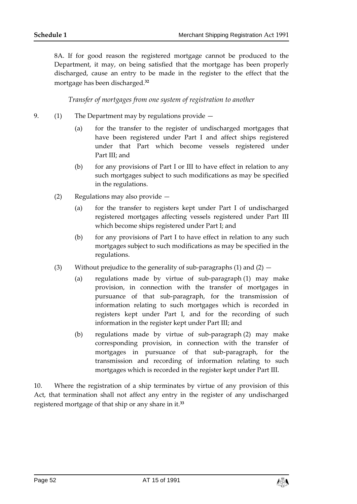8A. If for good reason the registered mortgage cannot be produced to the Department, it may, on being satisfied that the mortgage has been properly discharged, cause an entry to be made in the register to the effect that the mortgage has been discharged.**<sup>32</sup>**

*Transfer of mortgages from one system of registration to another*

- 9. (1) The Department may by regulations provide  $-$ 
	- (a) for the transfer to the register of undischarged mortgages that have been registered under Part I and affect ships registered under that Part which become vessels registered under Part III; and
	- (b) for any provisions of Part I or III to have effect in relation to any such mortgages subject to such modifications as may be specified in the regulations.
	- (2) Regulations may also provide
		- (a) for the transfer to registers kept under Part I of undischarged registered mortgages affecting vessels registered under Part III which become ships registered under Part I; and
		- (b) for any provisions of Part I to have effect in relation to any such mortgages subject to such modifications as may be specified in the regulations.
	- (3) Without prejudice to the generality of sub-paragraphs (1) and  $(2)$ 
		- (a) regulations made by virtue of sub-paragraph (1) may make provision, in connection with the transfer of mortgages in pursuance of that sub-paragraph, for the transmission of information relating to such mortgages which is recorded in registers kept under Part I, and for the recording of such information in the register kept under Part III; and
		- (b) regulations made by virtue of sub-paragraph (2) may make corresponding provision, in connection with the transfer of mortgages in pursuance of that sub-paragraph, for the transmission and recording of information relating to such mortgages which is recorded in the register kept under Part III.

10. Where the registration of a ship terminates by virtue of any provision of this Act, that termination shall not affect any entry in the register of any undischarged registered mortgage of that ship or any share in it.**33**

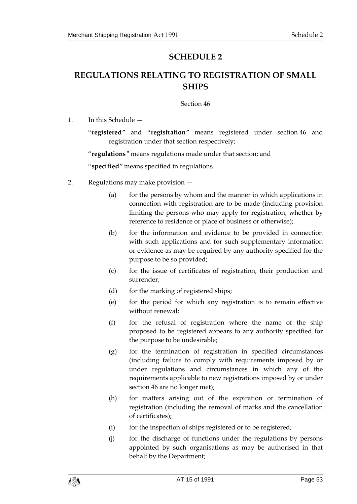# **SCHEDULE 2**

# <span id="page-52-1"></span><span id="page-52-0"></span>**REGULATIONS RELATING TO REGISTRATION OF SMALL SHIPS**

Section 46

1. In this Schedule —

"**registered**" and "**registration**" means registered under section 46 and registration under that section respectively;

"**regulations**" means regulations made under that section; and

"**specified**" means specified in regulations.

- 2. Regulations may make provision
	- (a) for the persons by whom and the manner in which applications in connection with registration are to be made (including provision limiting the persons who may apply for registration, whether by reference to residence or place of business or otherwise);
	- (b) for the information and evidence to be provided in connection with such applications and for such supplementary information or evidence as may be required by any authority specified for the purpose to be so provided;
	- (c) for the issue of certificates of registration, their production and surrender;
	- (d) for the marking of registered ships;
	- (e) for the period for which any registration is to remain effective without renewal;
	- (f) for the refusal of registration where the name of the ship proposed to be registered appears to any authority specified for the purpose to be undesirable;
	- (g) for the termination of registration in specified circumstances (including failure to comply with requirements imposed by or under regulations and circumstances in which any of the requirements applicable to new registrations imposed by or under section 46 are no longer met);
	- (h) for matters arising out of the expiration or termination of registration (including the removal of marks and the cancellation of certificates);
	- (i) for the inspection of ships registered or to be registered;
	- (j) for the discharge of functions under the regulations by persons appointed by such organisations as may be authorised in that behalf by the Department;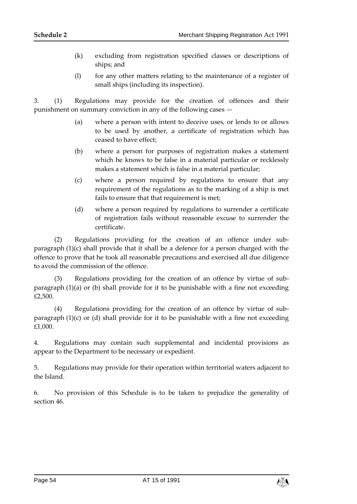- (k) excluding from registration specified classes or descriptions of ships; and
- (l) for any other matters relating to the maintenance of a register of small ships (including its inspection).

3. (1) Regulations may provide for the creation of offences and their punishment on summary conviction in any of the following cases —

- (a) where a person with intent to deceive uses, or lends to or allows to be used by another, a certificate of registration which has ceased to have effect;
- (b) where a person for purposes of registration makes a statement which he knows to be false in a material particular or recklessly makes a statement which is false in a material particular;
- (c) where a person required by regulations to ensure that any requirement of the regulations as to the marking of a ship is met fails to ensure that that requirement is met;
- (d) where a person required by regulations to surrender a certificate of registration fails without reasonable excuse to surrender the certificate.

(2) Regulations providing for the creation of an offence under subparagraph (1)(c) shall provide that it shall be a defence for a person charged with the offence to prove that he took all reasonable precautions and exercised all due diligence to avoid the commission of the offence.

Regulations providing for the creation of an offence by virtue of subparagraph (1)(a) or (b) shall provide for it to be punishable with a fine not exceeding £2,500.

(4) Regulations providing for the creation of an offence by virtue of subparagraph  $(1)(c)$  or  $(d)$  shall provide for it to be punishable with a fine not exceeding £1,000.

4. Regulations may contain such supplemental and incidental provisions as appear to the Department to be necessary or expedient.

5. Regulations may provide for their operation within territorial waters adjacent to the Island.

6. No provision of this Schedule is to be taken to prejudice the generality of section 46.

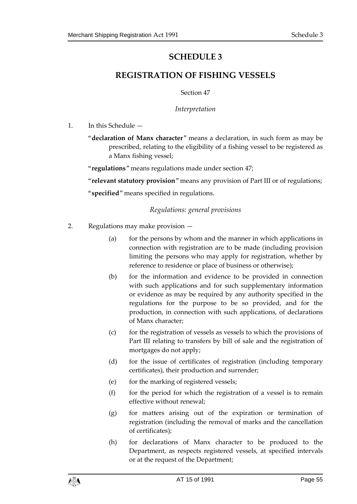# **SCHEDULE 3**

# <span id="page-54-1"></span><span id="page-54-0"></span>**REGISTRATION OF FISHING VESSELS**

Section 47

*Interpretation*

1. In this Schedule —

"**declaration of Manx character**" means a declaration, in such form as may be prescribed, relating to the eligibility of a fishing vessel to be registered as a Manx fishing vessel;

"**regulations**" means regulations made under section 47;

"**relevant statutory provision**" means any provision of Part III or of regulations;

"**specified**" means specified in regulations.

# *Regulations: general provisions*

- 2. Regulations may make provision
	- (a) for the persons by whom and the manner in which applications in connection with registration are to be made (including provision limiting the persons who may apply for registration, whether by reference to residence or place of business or otherwise);
	- (b) for the information and evidence to be provided in connection with such applications and for such supplementary information or evidence as may be required by any authority specified in the regulations for the purpose to be so provided, and for the production, in connection with such applications, of declarations of Manx character;
	- (c) for the registration of vessels as vessels to which the provisions of Part III relating to transfers by bill of sale and the registration of mortgages do not apply;
	- (d) for the issue of certificates of registration (including temporary certificates), their production and surrender;
	- (e) for the marking of registered vessels;
	- $(f)$  for the period for which the registration of a vessel is to remain effective without renewal;
	- (g) for matters arising out of the expiration or termination of registration (including the removal of marks and the cancellation of certificates);
	- (h) for declarations of Manx character to be produced to the Department, as respects registered vessels, at specified intervals or at the request of the Department;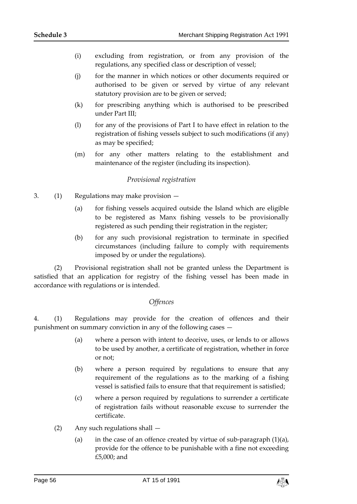- (i) excluding from registration, or from any provision of the regulations, any specified class or description of vessel;
- (j) for the manner in which notices or other documents required or authorised to be given or served by virtue of any relevant statutory provision are to be given or served;
- (k) for prescribing anything which is authorised to be prescribed under Part III;
- (l) for any of the provisions of Part I to have effect in relation to the registration of fishing vessels subject to such modifications (if any) as may be specified;
- (m) for any other matters relating to the establishment and maintenance of the register (including its inspection).

#### *Provisional registration*

- 3. (1) Regulations may make provision
	- (a) for fishing vessels acquired outside the Island which are eligible to be registered as Manx fishing vessels to be provisionally registered as such pending their registration in the register;
	- (b) for any such provisional registration to terminate in specified circumstances (including failure to comply with requirements imposed by or under the regulations).

(2) Provisional registration shall not be granted unless the Department is satisfied that an application for registry of the fishing vessel has been made in accordance with regulations or is intended.

#### *Offences*

4. (1) Regulations may provide for the creation of offences and their punishment on summary conviction in any of the following cases —

- (a) where a person with intent to deceive, uses, or lends to or allows to be used by another, a certificate of registration, whether in force or not;
- (b) where a person required by regulations to ensure that any requirement of the regulations as to the marking of a fishing vessel is satisfied fails to ensure that that requirement is satisfied;
- (c) where a person required by regulations to surrender a certificate of registration fails without reasonable excuse to surrender the certificate.
- (2) Any such regulations shall
	- (a) in the case of an offence created by virtue of sub-paragraph  $(1)(a)$ , provide for the offence to be punishable with a fine not exceeding £5,000; and

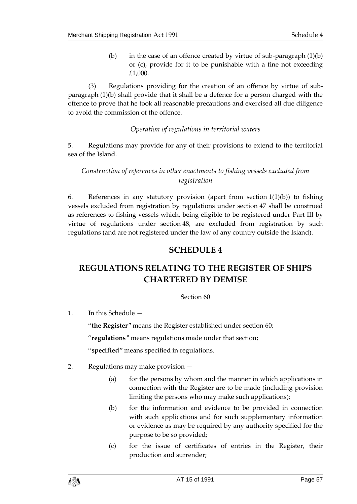(b) in the case of an offence created by virtue of sub-paragraph  $(1)(b)$ or (c), provide for it to be punishable with a fine not exceeding £1,000.

(3) Regulations providing for the creation of an offence by virtue of subparagraph (1)(b) shall provide that it shall be a defence for a person charged with the offence to prove that he took all reasonable precautions and exercised all due diligence to avoid the commission of the offence.

#### *Operation of regulations in territorial waters*

5. Regulations may provide for any of their provisions to extend to the territorial sea of the Island.

# *Construction of references in other enactments to fishing vessels excluded from registration*

6. References in any statutory provision (apart from section 1(1)(b)) to fishing vessels excluded from registration by regulations under section 47 shall be construed as references to fishing vessels which, being eligible to be registered under Part III by virtue of regulations under section 48, are excluded from registration by such regulations (and are not registered under the law of any country outside the Island).

# **SCHEDULE 4**

# <span id="page-56-1"></span><span id="page-56-0"></span>**REGULATIONS RELATING TO THE REGISTER OF SHIPS CHARTERED BY DEMISE**

#### Section 60

1. In this Schedule —

"**the Register**" means the Register established under section 60;

"**regulations**" means regulations made under that section;

"**specified**" means specified in regulations.

- 2. Regulations may make provision
	- (a) for the persons by whom and the manner in which applications in connection with the Register are to be made (including provision limiting the persons who may make such applications);
	- (b) for the information and evidence to be provided in connection with such applications and for such supplementary information or evidence as may be required by any authority specified for the purpose to be so provided;
	- (c) for the issue of certificates of entries in the Register, their production and surrender;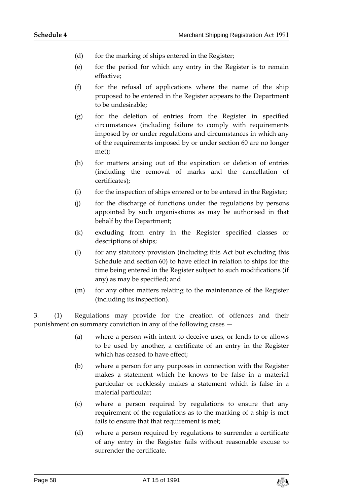- (d) for the marking of ships entered in the Register;
- (e) for the period for which any entry in the Register is to remain effective;
- (f) for the refusal of applications where the name of the ship proposed to be entered in the Register appears to the Department to be undesirable;
- (g) for the deletion of entries from the Register in specified circumstances (including failure to comply with requirements imposed by or under regulations and circumstances in which any of the requirements imposed by or under section 60 are no longer met);
- (h) for matters arising out of the expiration or deletion of entries (including the removal of marks and the cancellation of certificates);
- (i) for the inspection of ships entered or to be entered in the Register;
- (j) for the discharge of functions under the regulations by persons appointed by such organisations as may be authorised in that behalf by the Department;
- (k) excluding from entry in the Register specified classes or descriptions of ships;
- (l) for any statutory provision (including this Act but excluding this Schedule and section 60) to have effect in relation to ships for the time being entered in the Register subject to such modifications (if any) as may be specified; and
- (m) for any other matters relating to the maintenance of the Register (including its inspection).

3. (1) Regulations may provide for the creation of offences and their punishment on summary conviction in any of the following cases —

- (a) where a person with intent to deceive uses, or lends to or allows to be used by another, a certificate of an entry in the Register which has ceased to have effect;
- (b) where a person for any purposes in connection with the Register makes a statement which he knows to be false in a material particular or recklessly makes a statement which is false in a material particular;
- (c) where a person required by regulations to ensure that any requirement of the regulations as to the marking of a ship is met fails to ensure that that requirement is met;
- (d) where a person required by regulations to surrender a certificate of any entry in the Register fails without reasonable excuse to surrender the certificate.

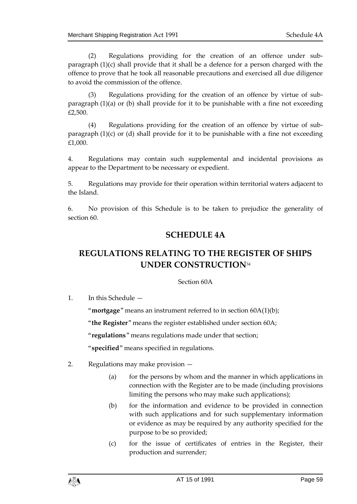(2) Regulations providing for the creation of an offence under subparagraph (1)(c) shall provide that it shall be a defence for a person charged with the offence to prove that he took all reasonable precautions and exercised all due diligence to avoid the commission of the offence.

(3) Regulations providing for the creation of an offence by virtue of subparagraph (1)(a) or (b) shall provide for it to be punishable with a fine not exceeding £2,500.

(4) Regulations providing for the creation of an offence by virtue of subparagraph (1)(c) or (d) shall provide for it to be punishable with a fine not exceeding £1,000.

4. Regulations may contain such supplemental and incidental provisions as appear to the Department to be necessary or expedient.

5. Regulations may provide for their operation within territorial waters adjacent to the Island.

<span id="page-58-0"></span>6. No provision of this Schedule is to be taken to prejudice the generality of section 60.

# **SCHEDULE 4A**

# <span id="page-58-1"></span>**REGULATIONS RELATING TO THE REGISTER OF SHIPS UNDER CONSTRUCTION**<sup>34</sup>

# Section 60A

1. In this Schedule —

"**mortgage**" means an instrument referred to in section 60A(1)(b);

"**the Register**" means the register established under section 60A;

"**regulations**" means regulations made under that section;

"**specified**" means specified in regulations.

- 2. Regulations may make provision
	- (a) for the persons by whom and the manner in which applications in connection with the Register are to be made (including provisions limiting the persons who may make such applications);
	- (b) for the information and evidence to be provided in connection with such applications and for such supplementary information or evidence as may be required by any authority specified for the purpose to be so provided;
	- (c) for the issue of certificates of entries in the Register, their production and surrender;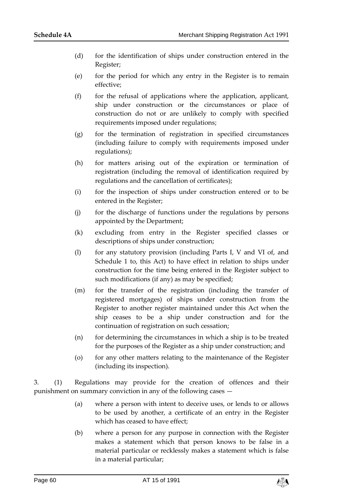- (d) for the identification of ships under construction entered in the Register;
- (e) for the period for which any entry in the Register is to remain effective;
- (f) for the refusal of applications where the application, applicant, ship under construction or the circumstances or place of construction do not or are unlikely to comply with specified requirements imposed under regulations;
- (g) for the termination of registration in specified circumstances (including failure to comply with requirements imposed under regulations);
- (h) for matters arising out of the expiration or termination of registration (including the removal of identification required by regulations and the cancellation of certificates);
- (i) for the inspection of ships under construction entered or to be entered in the Register;
- (j) for the discharge of functions under the regulations by persons appointed by the Department;
- (k) excluding from entry in the Register specified classes or descriptions of ships under construction;
- (l) for any statutory provision (including Parts I, V and VI of, and Schedule 1 to, this Act) to have effect in relation to ships under construction for the time being entered in the Register subject to such modifications (if any) as may be specified;
- (m) for the transfer of the registration (including the transfer of registered mortgages) of ships under construction from the Register to another register maintained under this Act when the ship ceases to be a ship under construction and for the continuation of registration on such cessation;
- (n) for determining the circumstances in which a ship is to be treated for the purposes of the Register as a ship under construction; and
- (o) for any other matters relating to the maintenance of the Register (including its inspection).

3. (1) Regulations may provide for the creation of offences and their punishment on summary conviction in any of the following cases —

- (a) where a person with intent to deceive uses, or lends to or allows to be used by another, a certificate of an entry in the Register which has ceased to have effect;
- (b) where a person for any purpose in connection with the Register makes a statement which that person knows to be false in a material particular or recklessly makes a statement which is false in a material particular;

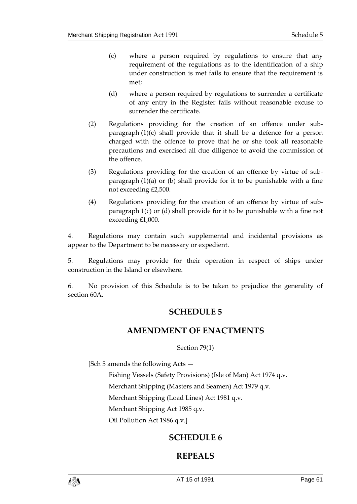- (c) where a person required by regulations to ensure that any requirement of the regulations as to the identification of a ship under construction is met fails to ensure that the requirement is met;
- (d) where a person required by regulations to surrender a certificate of any entry in the Register fails without reasonable excuse to surrender the certificate.
- (2) Regulations providing for the creation of an offence under subparagraph (1)(c) shall provide that it shall be a defence for a person charged with the offence to prove that he or she took all reasonable precautions and exercised all due diligence to avoid the commission of the offence.
- (3) Regulations providing for the creation of an offence by virtue of subparagraph (1)(a) or (b) shall provide for it to be punishable with a fine not exceeding £2,500.
- (4) Regulations providing for the creation of an offence by virtue of subparagraph 1(c) or (d) shall provide for it to be punishable with a fine not exceeding £1,000.

4. Regulations may contain such supplemental and incidental provisions as appear to the Department to be necessary or expedient.

5. Regulations may provide for their operation in respect of ships under construction in the Island or elsewhere.

<span id="page-60-1"></span><span id="page-60-0"></span>6. No provision of this Schedule is to be taken to prejudice the generality of section 60A.

# **SCHEDULE 5**

# **AMENDMENT OF ENACTMENTS**

Section 79(1)

[Sch 5 amends the following Acts —

Fishing Vessels (Safety Provisions) (Isle of Man) Act 1974 q.v.

Merchant Shipping (Masters and Seamen) Act 1979 q.v.

Merchant Shipping (Load Lines) Act 1981 q.v.

Merchant Shipping Act 1985 q.v.

<span id="page-60-2"></span>Oil Pollution Act 1986 q.v.]

# **SCHEDULE 6**

# **REPEALS**

<span id="page-60-3"></span>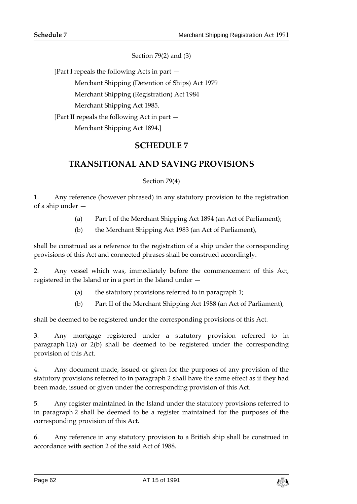Section 79(2) and (3)

[Part I repeals the following Acts in part —

Merchant Shipping (Detention of Ships) Act 1979

Merchant Shipping (Registration) Act 1984

Merchant Shipping Act 1985.

<span id="page-61-0"></span>[Part II repeals the following Act in part —

Merchant Shipping Act 1894.]

# **SCHEDULE 7**

# <span id="page-61-1"></span>**TRANSITIONAL AND SAVING PROVISIONS**

Section 79(4)

1. Any reference (however phrased) in any statutory provision to the registration of a ship under —

- (a) Part I of the Merchant Shipping Act 1894 (an Act of Parliament);
- (b) the Merchant Shipping Act 1983 (an Act of Parliament),

shall be construed as a reference to the registration of a ship under the corresponding provisions of this Act and connected phrases shall be construed accordingly.

2. Any vessel which was, immediately before the commencement of this Act, registered in the Island or in a port in the Island under —

- (a) the statutory provisions referred to in paragraph 1;
- (b) Part II of the Merchant Shipping Act 1988 (an Act of Parliament),

shall be deemed to be registered under the corresponding provisions of this Act.

3. Any mortgage registered under a statutory provision referred to in paragraph 1(a) or 2(b) shall be deemed to be registered under the corresponding provision of this Act.

4. Any document made, issued or given for the purposes of any provision of the statutory provisions referred to in paragraph 2 shall have the same effect as if they had been made, issued or given under the corresponding provision of this Act.

5. Any register maintained in the Island under the statutory provisions referred to in paragraph 2 shall be deemed to be a register maintained for the purposes of the corresponding provision of this Act.

6. Any reference in any statutory provision to a British ship shall be construed in accordance with section 2 of the said Act of 1988.

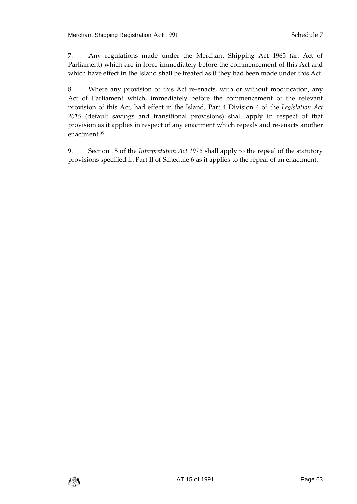7. Any regulations made under the Merchant Shipping Act 1965 (an Act of Parliament) which are in force immediately before the commencement of this Act and which have effect in the Island shall be treated as if they had been made under this Act.

8. Where any provision of this Act re-enacts, with or without modification, any Act of Parliament which, immediately before the commencement of the relevant provision of this Act, had effect in the Island, Part 4 Division 4 of the *Legislation Act 2015* (default savings and transitional provisions) shall apply in respect of that provision as it applies in respect of any enactment which repeals and re-enacts another enactment.**<sup>35</sup>**

9. Section 15 of the *Interpretation Act 1976* shall apply to the repeal of the statutory provisions specified in Part II of Schedule 6 as it applies to the repeal of an enactment.

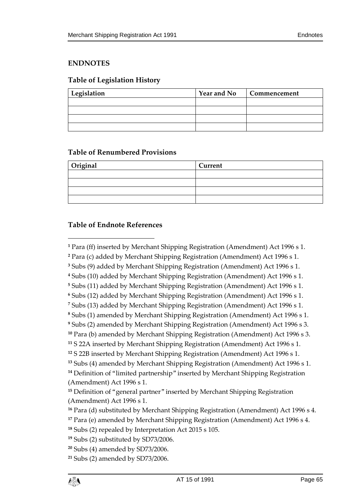# <span id="page-64-0"></span>**ENDNOTES**

# <span id="page-64-1"></span>**Table of Legislation History**

| Legislation | <b>Year and No</b> | Commencement |
|-------------|--------------------|--------------|
|             |                    |              |
|             |                    |              |
|             |                    |              |
|             |                    |              |

# <span id="page-64-2"></span>**Table of Renumbered Provisions**

| Original | <b>Current</b> |  |
|----------|----------------|--|
|          |                |  |
|          |                |  |
|          |                |  |
|          |                |  |

# <span id="page-64-3"></span>**Table of Endnote References**

 $\overline{a}$ 

 Para (ff) inserted by Merchant Shipping Registration (Amendment) Act 1996 s 1. Para (c) added by Merchant Shipping Registration (Amendment) Act 1996 s 1.

Subs (9) added by Merchant Shipping Registration (Amendment) Act 1996 s 1.

Subs (10) added by Merchant Shipping Registration (Amendment) Act 1996 s 1.

Subs (11) added by Merchant Shipping Registration (Amendment) Act 1996 s 1.

Subs (12) added by Merchant Shipping Registration (Amendment) Act 1996 s 1.

Subs (13) added by Merchant Shipping Registration (Amendment) Act 1996 s 1.

Subs (1) amended by Merchant Shipping Registration (Amendment) Act 1996 s 1.

Subs (2) amended by Merchant Shipping Registration (Amendment) Act 1996 s 3.

Para (b) amended by Merchant Shipping Registration (Amendment) Act 1996 s 3.

S 22A inserted by Merchant Shipping Registration (Amendment) Act 1996 s 1.

S 22B inserted by Merchant Shipping Registration (Amendment) Act 1996 s 1.

Subs (4) amended by Merchant Shipping Registration (Amendment) Act 1996 s 1.

 Definition of "limited partnership" inserted by Merchant Shipping Registration (Amendment) Act 1996 s 1.

 Definition of "general partner" inserted by Merchant Shipping Registration (Amendment) Act 1996 s 1.

Para (d) substituted by Merchant Shipping Registration (Amendment) Act 1996 s 4.

Para (e) amended by Merchant Shipping Registration (Amendment) Act 1996 s 4.

Subs (2) repealed by Interpretation Act 2015 s 105.

Subs (2) substituted by SD73/2006.

Subs (4) amended by SD73/2006.

Subs (2) amended by SD73/2006.